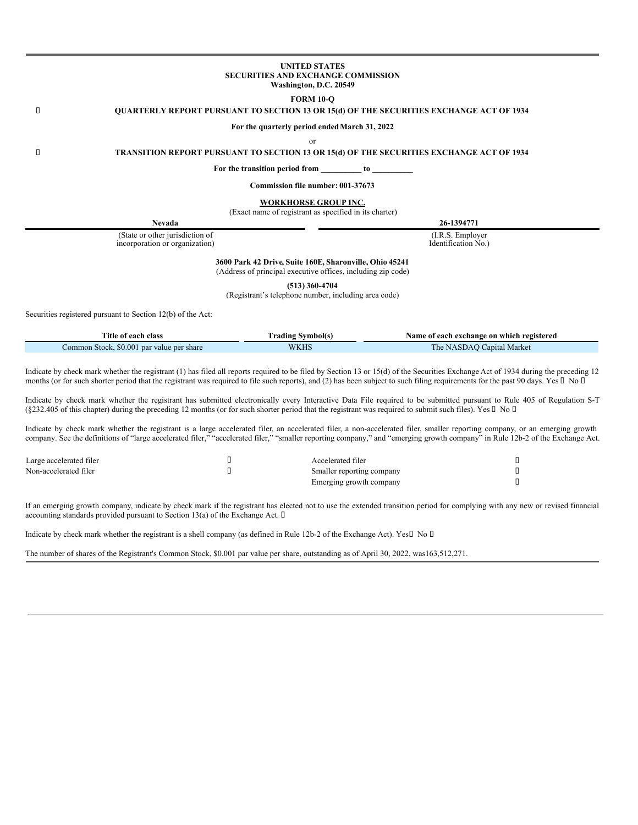### **UNITED STATES SECURITIES AND EXCHANGE COMMISSION Washington, D.C. 20549**

**FORM 10-Q**

## **QUARTERLY REPORT PURSUANT TO SECTION 13 OR 15(d) OF THE SECURITIES EXCHANGE ACT OF 1934**

**For the quarterly period endedMarch 31, 2022**

or

### **TRANSITION REPORT PURSUANT TO SECTION 13 OR 15(d) OF THE SECURITIES EXCHANGE ACT OF 1934**

## **For the transition period from \_\_\_\_\_\_\_\_\_\_ to \_\_\_\_\_\_\_\_\_\_**

**Commission file number: 001-37673**

#### **WORKHORSE GROUP INC.**

(Exact name of registrant as specified in its charter)

| Nevada                          | 26-1394771         |
|---------------------------------|--------------------|
| (State or other jurisdiction of | (I.R.S. Emplover   |
| incorporation or organization)  | Identification No. |

## **3600 Park 42 Drive, Suite 160E, Sharonville, Ohio 45241**

(Address of principal executive offices, including zip code)

**(513) 360-4704**

(Registrant's telephone number, including area code)

Securities registered pursuant to Section 12(b) of the Act:

| Title of each<br>class                         | <b>Symbol</b> (s<br>radıng | Name of each exchange on which registered |
|------------------------------------------------|----------------------------|-------------------------------------------|
| . \$0.001 par value per share<br>Common Stock, | <b>WKHS</b>                | NASDAO.<br>Capital Market<br>l he         |

Indicate by check mark whether the registrant (1) has filed all reports required to be filed by Section 13 or 15(d) of the Securities Exchange Act of 1934 during the preceding 12 months (or for such shorter period that the registrant was required to file such reports), and (2) has been subject to such filing requirements for the past 90 days. Yes  $\Box$  No  $\Box$ 

Indicate by check mark whether the registrant has submitted electronically every Interactive Data File required to be submitted pursuant to Rule 405 of Regulation S-T (§232.405 of this chapter) during the preceding 12 months (or for such shorter period that the registrant was required to submit such files). Yes  $\Box$  No  $\Box$ 

Indicate by check mark whether the registrant is a large accelerated filer, an accelerated filer, a non-accelerated filer, smaller reporting company, or an emerging growth company. See the definitions of "large accelerated filer," "accelerated filer," "smaller reporting company," and "emerging growth company" in Rule 12b-2 of the Exchange Act.

| Large accelerated filer | Accelerated filer         |  |
|-------------------------|---------------------------|--|
| Non-accelerated filer   | Smaller reporting company |  |
|                         | Emerging growth company   |  |

If an emerging growth company, indicate by check mark if the registrant has elected not to use the extended transition period for complying with any new or revised financial accounting standards provided pursuant to Section 13(a) of the Exchange Act. I

Indicate by check mark whether the registrant is a shell company (as defined in Rule 12b-2 of the Exchange Act). Yes I No I

The number of shares of the Registrant's Common Stock, \$0.001 par value per share, outstanding as of April 30, 2022, was163,512,271.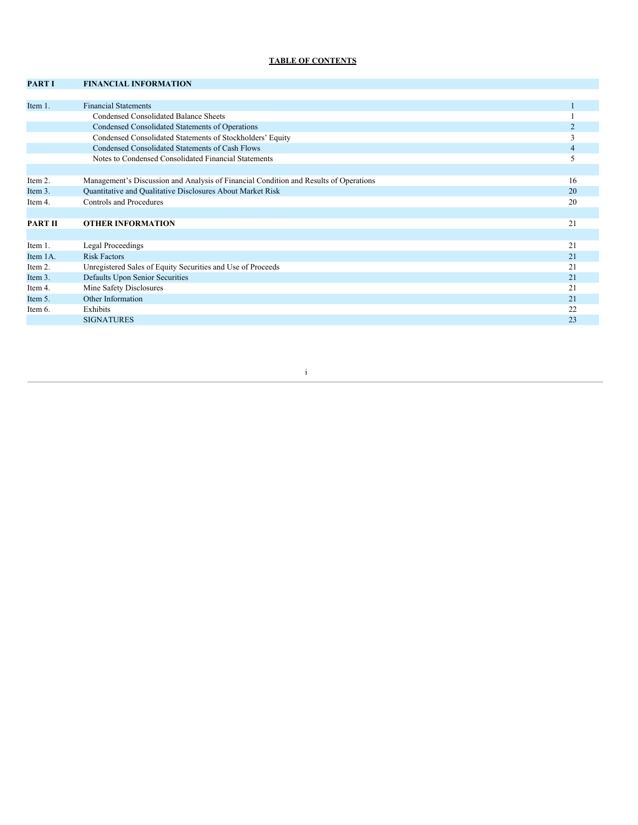# **TABLE OF CONTENTS**

| <b>PART I</b>  | <b>FINANCIAL INFORMATION</b>                                                          |                |
|----------------|---------------------------------------------------------------------------------------|----------------|
|                |                                                                                       |                |
| Item 1.        | <b>Financial Statements</b>                                                           |                |
|                | Condensed Consolidated Balance Sheets                                                 |                |
|                | Condensed Consolidated Statements of Operations                                       | $\mathcal{D}$  |
|                | Condensed Consolidated Statements of Stockholders' Equity                             | 3              |
|                | Condensed Consolidated Statements of Cash Flows                                       | $\overline{4}$ |
|                | Notes to Condensed Consolidated Financial Statements                                  | 5              |
|                |                                                                                       |                |
| Item 2.        | Management's Discussion and Analysis of Financial Condition and Results of Operations | 16             |
| Item 3.        | Quantitative and Qualitative Disclosures About Market Risk                            | 20             |
| Item 4.        | Controls and Procedures                                                               | 20             |
|                |                                                                                       |                |
| <b>PART II</b> | <b>OTHER INFORMATION</b>                                                              | 21             |
|                |                                                                                       |                |
| Item 1.        | <b>Legal Proceedings</b>                                                              | 21             |
| Item 1A.       | <b>Risk Factors</b>                                                                   | 21             |
| Item 2.        | Unregistered Sales of Equity Securities and Use of Proceeds                           | 21             |
| Item 3.        | Defaults Upon Senior Securities                                                       | 21             |
| Item 4.        | Mine Safety Disclosures                                                               | 21             |
| Item 5.        | Other Information                                                                     | 21             |
| Item 6.        | Exhibits                                                                              | 22             |
|                | <b>SIGNATURES</b>                                                                     | 23             |
|                |                                                                                       |                |

# i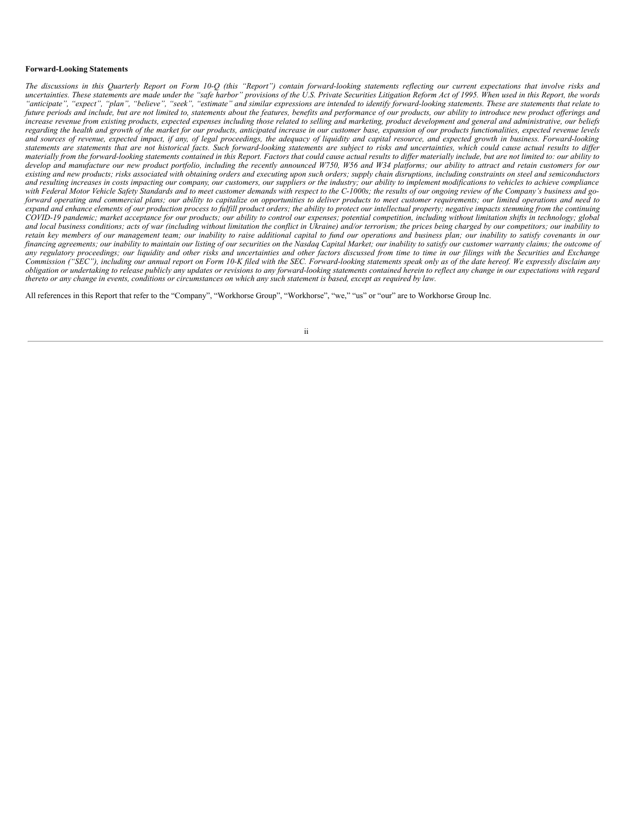### **Forward-Looking Statements**

The discussions in this Quarterly Report on Form 10-Q (this "Report") contain forward-looking statements reflecting our current expectations that involve risks and uncertainties. These statements are made under the "safe harbor" provisions of the U.S. Private Securities Litigation Reform Act of 1995. When used in this Report, the words "anticipate", "expect", "plan", "believe", "seek", "estimate" and similar expressions are intended to identify forward-looking statements. These are statements that relate to future periods and include, but are not limited to, statements about the features, benefits and performance of our products, our ability to introduce new product offerings and increase revenue from existing products, expected expenses including those related to selling and marketing, product development and general and administrative, our beliefs regarding the health and growth of the market for our products, anticipated increase in our customer base, expansion of our products functionalities, expected revenue levels and sources of revenue, expected impact, if any, of legal proceedings, the adequacy of liquidity and capital resource, and expected growth in business. Forward-looking statements are statements that are not historical facts. Such forward-looking statements are subject to risks and uncertainties, which could cause actual results to differ materially from the forward-looking statements contained in this Report. Factors that could cause actual results to differ materially include, but are not limited to: our ability to develop and manufacture our new product portfolio, including the recently announced W750, W56 and W34 platforms; our ability to attract and retain customers for our existing and new products; risks associated with obtaining orders and executing upon such orders; supply chain disruptions, including constraints on steel and semiconductors and resulting increases in costs impacting our company, our customers, our suppliers or the industry; our ability to implement modifications to vehicles to achieve compliance with Federal Motor Vehicle Safety Standards and to meet customer demands with respect to the C-1000s; the results of our ongoing review of the Company's business and goforward operating and commercial plans; our ability to capitalize on opportunities to deliver products to meet customer requirements; our limited operations and need to expand and enhance elements of our production process to fulfill product orders; the ability to protect our intellectual property; negative impacts stemming from the continuing COVID-19 pandemic; market acceptance for our products; our ability to control our expenses; potential competition, including without limitation shifts in technology; global and local business conditions; acts of war (including without limitation the conflict in Ukraine) and/or terrorism; the prices being charged by our competitors; our inability to retain key members of our management team; our inability to raise additional capital to fund our operations and business plan; our inability to satisfy covenants in our financing agreements; our inability to maintain our listing of our securities on the Nasdaq Capital Market; our inability to satisfy our customer warranty claims; the outcome of any regulatory proceedings; our liquidity and other risks and uncertainties and other factors discussed from time to time in our filings with the Securities and Exchange Commission ("SEC"), including our annual report on Form 10-K filed with the SEC. Forward-looking statements speak only as of the date hereof. We expressly disclaim any obligation or undertaking to release publicly any updates or revisions to any forward-looking statements contained herein to reflect any change in our expectations with regard thereto or any change in events, conditions or circumstances on which any such statement is based, except as required by law.

<span id="page-2-0"></span>All references in this Report that refer to the "Company", "Workhorse Group", "Workhorse", "we," "us" or "our" are to Workhorse Group Inc.

### ii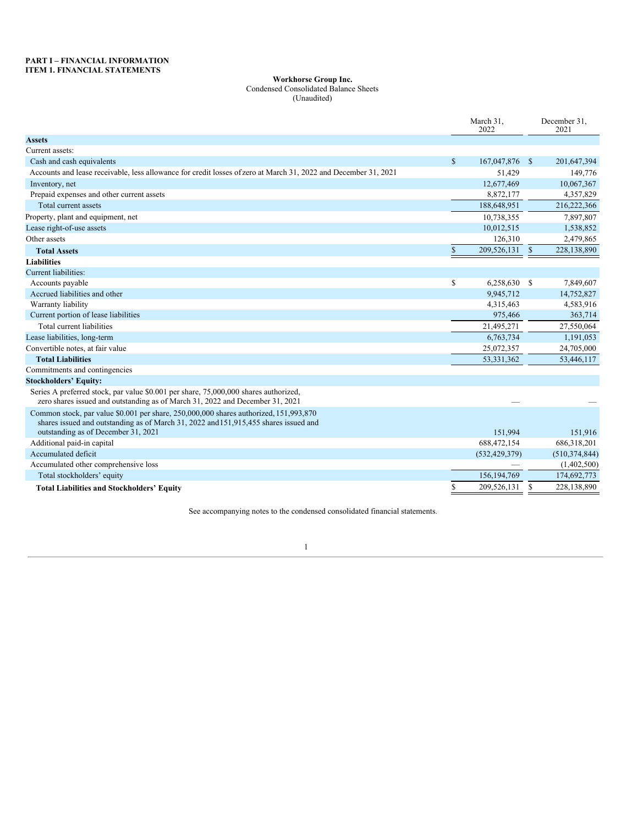## **Workhorse Group Inc.**

## Condensed Consolidated Balance Sheets

(Unaudited)

<span id="page-3-1"></span><span id="page-3-0"></span>

|                                                                                                                                                                                                                      |              | March 31.<br>2022              |              | December 31,<br>2021           |
|----------------------------------------------------------------------------------------------------------------------------------------------------------------------------------------------------------------------|--------------|--------------------------------|--------------|--------------------------------|
| <b>Assets</b>                                                                                                                                                                                                        |              |                                |              |                                |
| Current assets:                                                                                                                                                                                                      |              |                                |              |                                |
| Cash and cash equivalents                                                                                                                                                                                            | $\mathbb{S}$ | 167,047,876 \$                 |              | 201,647,394                    |
| Accounts and lease receivable, less allowance for credit losses of zero at March 31, 2022 and December 31, 2021                                                                                                      |              | 51,429                         |              | 149,776                        |
| Inventory, net                                                                                                                                                                                                       |              | 12,677,469                     |              | 10,067,367                     |
| Prepaid expenses and other current assets                                                                                                                                                                            |              | 8,872,177                      |              | 4,357,829                      |
| Total current assets                                                                                                                                                                                                 |              | 188,648,951                    |              | 216,222,366                    |
| Property, plant and equipment, net                                                                                                                                                                                   |              | 10,738,355                     |              | 7,897,807                      |
| Lease right-of-use assets                                                                                                                                                                                            |              | 10,012,515                     |              | 1,538,852                      |
| Other assets                                                                                                                                                                                                         |              | 126,310                        |              | 2,479,865                      |
| <b>Total Assets</b>                                                                                                                                                                                                  | $\mathbb{S}$ | 209,526,131                    | $\mathbb{S}$ | 228,138,890                    |
| <b>Liabilities</b>                                                                                                                                                                                                   |              |                                |              |                                |
| Current liabilities:                                                                                                                                                                                                 |              |                                |              |                                |
| Accounts payable                                                                                                                                                                                                     | \$           | 6,258,630 \$                   |              | 7,849,607                      |
| Accrued liabilities and other                                                                                                                                                                                        |              | 9,945,712                      |              | 14,752,827                     |
| Warranty liability                                                                                                                                                                                                   |              | 4,315,463                      |              | 4,583,916                      |
| Current portion of lease liabilities                                                                                                                                                                                 |              | 975,466                        |              | 363,714                        |
| Total current liabilities                                                                                                                                                                                            |              | 21,495,271                     |              | 27,550,064                     |
| Lease liabilities, long-term                                                                                                                                                                                         |              | 6,763,734                      |              | 1,191,053                      |
| Convertible notes, at fair value                                                                                                                                                                                     |              | 25,072,357                     |              | 24,705,000                     |
| <b>Total Liabilities</b>                                                                                                                                                                                             |              | 53, 331, 362                   |              | 53,446,117                     |
| Commitments and contingencies                                                                                                                                                                                        |              |                                |              |                                |
| <b>Stockholders' Equity:</b>                                                                                                                                                                                         |              |                                |              |                                |
| Series A preferred stock, par value \$0.001 per share, 75,000,000 shares authorized,<br>zero shares issued and outstanding as of March 31, 2022 and December 31, 2021                                                |              |                                |              |                                |
| Common stock, par value \$0.001 per share, 250,000,000 shares authorized, 151,993,870<br>shares issued and outstanding as of March 31, 2022 and 151,915,455 shares issued and<br>outstanding as of December 31, 2021 |              | 151,994                        |              | 151,916                        |
|                                                                                                                                                                                                                      |              |                                |              |                                |
| Additional paid-in capital<br>Accumulated deficit                                                                                                                                                                    |              | 688,472,154<br>(532, 429, 379) |              | 686,318,201<br>(510, 374, 844) |
| Accumulated other comprehensive loss                                                                                                                                                                                 |              |                                |              | (1,402,500)                    |
| Total stockholders' equity                                                                                                                                                                                           |              | 156, 194, 769                  |              | 174,692,773                    |
|                                                                                                                                                                                                                      | \$           | 209,526,131                    |              | 228,138,890                    |
| <b>Total Liabilities and Stockholders' Equity</b>                                                                                                                                                                    |              |                                | -S           |                                |

<span id="page-3-2"></span>See accompanying notes to the condensed consolidated financial statements.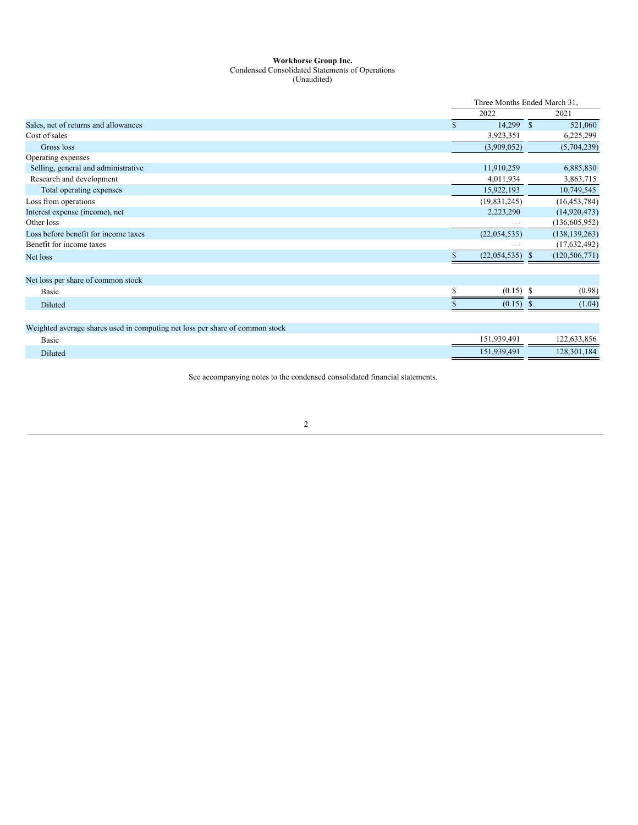### **Workhorse Group Inc.** Condensed Consolidated Statements of Operations (Unaudited)

|                                                                              |    | Three Months Ended March 31, |  |                 |  |  |  |
|------------------------------------------------------------------------------|----|------------------------------|--|-----------------|--|--|--|
|                                                                              |    | 2022                         |  | 2021            |  |  |  |
| Sales, net of returns and allowances                                         | S. | 14,299 \$                    |  | 521,060         |  |  |  |
| Cost of sales                                                                |    | 3,923,351                    |  | 6,225,299       |  |  |  |
| Gross loss                                                                   |    | (3,909,052)                  |  | (5,704,239)     |  |  |  |
| Operating expenses                                                           |    |                              |  |                 |  |  |  |
| Selling, general and administrative                                          |    | 11,910,259                   |  | 6,885,830       |  |  |  |
| Research and development                                                     |    | 4,011,934                    |  | 3,863,715       |  |  |  |
| Total operating expenses                                                     |    | 15,922,193                   |  | 10,749,545      |  |  |  |
| Loss from operations                                                         |    | (19, 831, 245)               |  | (16, 453, 784)  |  |  |  |
| Interest expense (income), net                                               |    | 2,223,290                    |  | (14,920,473)    |  |  |  |
| Other loss                                                                   |    |                              |  | (136, 605, 952) |  |  |  |
| Loss before benefit for income taxes                                         |    | (22,054,535)                 |  | (138, 139, 263) |  |  |  |
| Benefit for income taxes                                                     |    |                              |  | (17, 632, 492)  |  |  |  |
| Net loss                                                                     |    | $(22,054,535)$ \$            |  | (120, 506, 771) |  |  |  |
| Net loss per share of common stock                                           |    |                              |  |                 |  |  |  |
| Basic                                                                        |    | $(0.15)$ \$                  |  | (0.98)          |  |  |  |
| Diluted                                                                      |    | $(0.15)$ \$                  |  | (1.04)          |  |  |  |
|                                                                              |    |                              |  |                 |  |  |  |
| Weighted average shares used in computing net loss per share of common stock |    |                              |  |                 |  |  |  |
| Basic                                                                        |    | 151,939,491                  |  | 122,633,856     |  |  |  |
| Diluted                                                                      |    | 151,939,491                  |  | 128,301,184     |  |  |  |

<span id="page-4-0"></span>See accompanying notes to the condensed consolidated financial statements.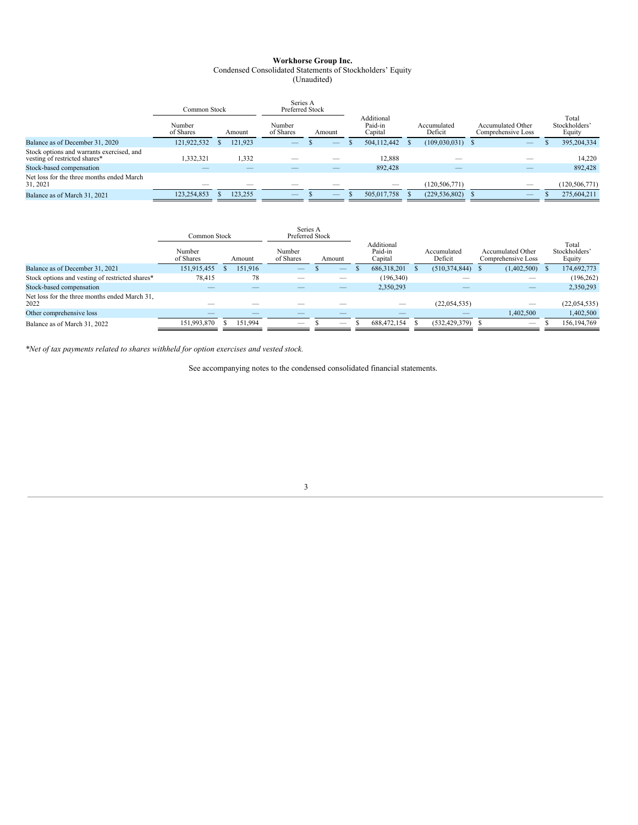# **Workhorse Group Inc.** Condensed Consolidated Statements of Stockholders' Equity

(Unaudited)

|                                                                            | Common Stock                  |  |                     | Series A<br>Preferred Stock |  |                                  |                        |  |                                                |                                  |                 |
|----------------------------------------------------------------------------|-------------------------------|--|---------------------|-----------------------------|--|----------------------------------|------------------------|--|------------------------------------------------|----------------------------------|-----------------|
|                                                                            | Number<br>of Shares<br>Amount |  | Number<br>of Shares | Amount                      |  | Additional<br>Paid-in<br>Capital | Accumulated<br>Deficit |  | <b>Accumulated Other</b><br>Comprehensive Loss | Total<br>Stockholders'<br>Equity |                 |
| Balance as of December 31, 2020                                            | 121,922,532                   |  | 121.923             |                             |  |                                  | 504,112,442            |  | $(109, 030, 031)$ \$                           |                                  | 395, 204, 334   |
| Stock options and warrants exercised, and<br>vesting of restricted shares* | 1,332,321                     |  | 1,332               |                             |  |                                  | 12,888                 |  |                                                |                                  | 14,220          |
| Stock-based compensation                                                   |                               |  |                     |                             |  |                                  | 892,428                |  | _                                              |                                  | 892,428         |
| Net loss for the three months ended March<br>31, 2021                      |                               |  |                     |                             |  |                                  |                        |  | (120, 506, 771)                                | _                                | (120, 506, 771) |
| Balance as of March 31, 2021                                               | 123.254.853                   |  | 123.255             |                             |  |                                  | 505,017,758            |  | (229.536.802)                                  |                                  | 275,604,211     |
|                                                                            |                               |  |                     |                             |  |                                  |                        |  |                                                |                                  |                 |

|                                                       | Common Stock        |         | Series A<br>Preferred Stock |                   |                                  |                        |  |                                                |  |                                  |
|-------------------------------------------------------|---------------------|---------|-----------------------------|-------------------|----------------------------------|------------------------|--|------------------------------------------------|--|----------------------------------|
|                                                       | Number<br>of Shares | Amount  | Number<br>of Shares         | Amount            | Additional<br>Paid-in<br>Capital | Accumulated<br>Deficit |  | <b>Accumulated Other</b><br>Comprehensive Loss |  | Total<br>Stockholders'<br>Equity |
| Balance as of December 31, 2021                       | 151,915,455         | 151.916 | $\qquad \qquad -$           | $\qquad \qquad -$ | 686,318,201                      | (510, 374, 844)        |  | $(1,402,500)$ \$                               |  | 174,692,773                      |
| Stock options and vesting of restricted shares*       | 78,415              | 78      |                             |                   | (196,340)                        |                        |  |                                                |  | (196, 262)                       |
| Stock-based compensation                              |                     |         |                             |                   | 2,350,293                        |                        |  |                                                |  | 2,350,293                        |
| Net loss for the three months ended March 31,<br>2022 |                     |         |                             |                   |                                  | (22,054,535)           |  |                                                |  | (22,054,535)                     |
| Other comprehensive loss                              |                     |         |                             |                   |                                  |                        |  | 1,402,500                                      |  | 1,402,500                        |
| Balance as of March 31, 2022                          | 151,993,870         | 151.994 |                             | $-$               | 688, 472, 154                    | (532, 429, 379)        |  |                                                |  | 156, 194, 769                    |

<span id="page-5-0"></span>*\*Net of tax payments related to shares withheld for option exercises and vested stock.*

See accompanying notes to the condensed consolidated financial statements.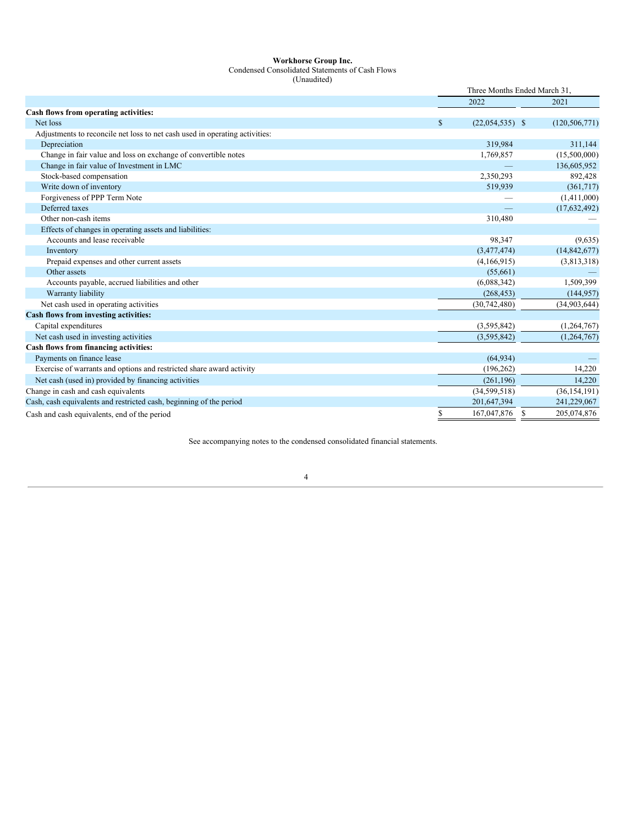# **Workhorse Group Inc.** Condensed Consolidated Statements of Cash Flows

(Unaudited)

|                                                                             |              | Three Months Ended March 31, |   |                 |
|-----------------------------------------------------------------------------|--------------|------------------------------|---|-----------------|
|                                                                             |              | 2022                         |   | 2021            |
| Cash flows from operating activities:                                       |              |                              |   |                 |
| Net loss                                                                    | $\mathbb{S}$ | $(22,054,535)$ \$            |   | (120, 506, 771) |
| Adjustments to reconcile net loss to net cash used in operating activities: |              |                              |   |                 |
| Depreciation                                                                |              | 319,984                      |   | 311,144         |
| Change in fair value and loss on exchange of convertible notes              |              | 1,769,857                    |   | (15,500,000)    |
| Change in fair value of Investment in LMC                                   |              |                              |   | 136,605,952     |
| Stock-based compensation                                                    |              | 2,350,293                    |   | 892,428         |
| Write down of inventory                                                     |              | 519,939                      |   | (361,717)       |
| Forgiveness of PPP Term Note                                                |              |                              |   | (1,411,000)     |
| Deferred taxes                                                              |              |                              |   | (17, 632, 492)  |
| Other non-cash items                                                        |              | 310,480                      |   |                 |
| Effects of changes in operating assets and liabilities:                     |              |                              |   |                 |
| Accounts and lease receivable                                               |              | 98,347                       |   | (9,635)         |
| Inventory                                                                   |              | (3,477,474)                  |   | (14, 842, 677)  |
| Prepaid expenses and other current assets                                   |              | (4,166,915)                  |   | (3,813,318)     |
| Other assets                                                                |              | (55,661)                     |   |                 |
| Accounts payable, accrued liabilities and other                             |              | (6,088,342)                  |   | 1,509,399       |
| Warranty liability                                                          |              | (268, 453)                   |   | (144, 957)      |
| Net cash used in operating activities                                       |              | (30,742,480)                 |   | (34,903,644)    |
| Cash flows from investing activities:                                       |              |                              |   |                 |
| Capital expenditures                                                        |              | (3,595,842)                  |   | (1, 264, 767)   |
| Net cash used in investing activities                                       |              | (3,595,842)                  |   | (1, 264, 767)   |
| Cash flows from financing activities:                                       |              |                              |   |                 |
| Payments on finance lease                                                   |              | (64, 934)                    |   |                 |
| Exercise of warrants and options and restricted share award activity        |              | (196, 262)                   |   | 14,220          |
| Net cash (used in) provided by financing activities                         |              | (261, 196)                   |   | 14,220          |
| Change in cash and cash equivalents                                         |              | (34,599,518)                 |   | (36, 154, 191)  |
| Cash, cash equivalents and restricted cash, beginning of the period         |              | 201,647,394                  |   | 241,229,067     |
| Cash and cash equivalents, end of the period                                | \$           | 167,047,876                  | S | 205,074,876     |

See accompanying notes to the condensed consolidated financial statements.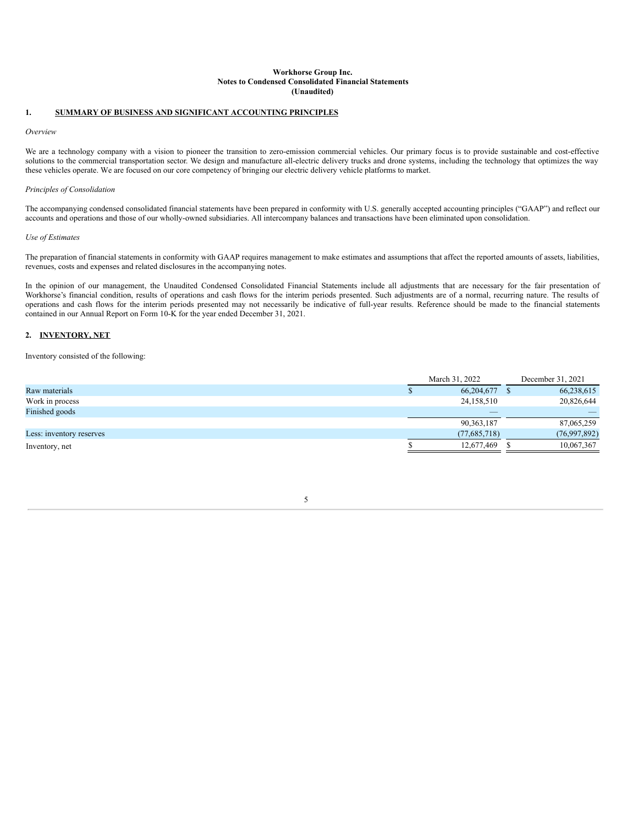### **Workhorse Group Inc. Notes to Condensed Consolidated Financial Statements (Unaudited)**

## <span id="page-7-0"></span>**1. SUMMARY OF BUSINESS AND SIGNIFICANT ACCOUNTING PRINCIPLES**

*Overview*

We are a technology company with a vision to pioneer the transition to zero-emission commercial vehicles. Our primary focus is to provide sustainable and cost-effective solutions to the commercial transportation sector. We design and manufacture all-electric delivery trucks and drone systems, including the technology that optimizes the way these vehicles operate. We are focused on our core competency of bringing our electric delivery vehicle platforms to market.

### *Principles of Consolidation*

The accompanying condensed consolidated financial statements have been prepared in conformity with U.S. generally accepted accounting principles ("GAAP") and reflect our accounts and operations and those of our wholly-owned subsidiaries. All intercompany balances and transactions have been eliminated upon consolidation.

#### *Use of Estimates*

The preparation of financial statements in conformity with GAAP requires management to make estimates and assumptions that affect the reported amounts of assets, liabilities, revenues, costs and expenses and related disclosures in the accompanying notes.

In the opinion of our management, the Unaudited Condensed Consolidated Financial Statements include all adjustments that are necessary for the fair presentation of Workhorse's financial condition, results of operations and cash flows for the interim periods presented. Such adjustments are of a normal, recurring nature. The results of operations and cash flows for the interim periods presented may not necessarily be indicative of full-year results. Reference should be made to the financial statements contained in our Annual Report on Form 10-K for the year ended December 31, 2021.

## **2. INVENTORY, NET**

Inventory consisted of the following:

|                          | March 31, 2022 | December 31, 2021 |
|--------------------------|----------------|-------------------|
| Raw materials            | 66,204,677 \$  | 66,238,615        |
| Work in process          | 24,158,510     | 20,826,644        |
| Finished goods           |                |                   |
|                          | 90, 363, 187   | 87,065,259        |
| Less: inventory reserves | (77,685,718)   | (76,997,892)      |
| Inventory, net           | 12,677,469     | 10,067,367        |
|                          |                |                   |

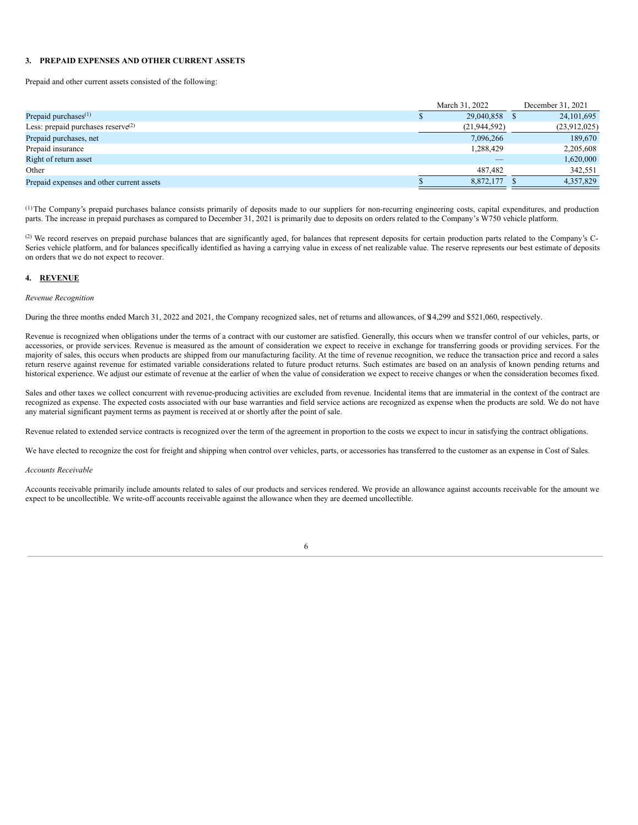## **3. PREPAID EXPENSES AND OTHER CURRENT ASSETS**

Prepaid and other current assets consisted of the following:

|                                                | March 31, 2022           | December 31, 2021 |
|------------------------------------------------|--------------------------|-------------------|
| Prepaid purchases $(1)$                        | 29,040,858               | 24, 101, 695      |
| Less: prepaid purchases reserve <sup>(2)</sup> | (21, 944, 592)           | (23,912,025)      |
| Prepaid purchases, net                         | 7,096,266                | 189,670           |
| Prepaid insurance                              | 1,288,429                | 2,205,608         |
| Right of return asset                          | $\overline{\phantom{a}}$ | 1,620,000         |
| Other                                          | 487.482                  | 342,551           |
| Prepaid expenses and other current assets      | 8,872,177                | 4,357,829         |

The Company's prepaid purchases balance consists primarily of deposits made to our suppliers for non-recurring engineering costs, capital expenditures, and production (1) parts. The increase in prepaid purchases as compared to December 31, 2021 is primarily due to deposits on orders related to the Company's W750 vehicle platform.

 $^{(2)}$  We record reserves on prepaid purchase balances that are significantly aged, for balances that represent deposits for certain production parts related to the Company's C-Series vehicle platform, and for balances specifically identified as having a carrying value in excess of net realizable value. The reserve represents our best estimate of deposits on orders that we do not expect to recover.

## **4. REVENUE**

## *Revenue Recognition*

During the three months ended March 31, 2022 and 2021, the Company recognized sales, net of returns and allowances, of \$14,299 and \$521,060, respectively.

Revenue is recognized when obligations under the terms of a contract with our customer are satisfied. Generally, this occurs when we transfer control of our vehicles, parts, or accessories, or provide services. Revenue is measured as the amount of consideration we expect to receive in exchange for transferring goods or providing services. For the majority of sales, this occurs when products are shipped from our manufacturing facility. At the time of revenue recognition, we reduce the transaction price and record a sales return reserve against revenue for estimated variable considerations related to future product returns. Such estimates are based on an analysis of known pending returns and historical experience. We adjust our estimate of revenue at the earlier of when the value of consideration we expect to receive changes or when the consideration becomes fixed.

Sales and other taxes we collect concurrent with revenue-producing activities are excluded from revenue. Incidental items that are immaterial in the context of the contract are recognized as expense. The expected costs associated with our base warranties and field service actions are recognized as expense when the products are sold. We do not have any material significant payment terms as payment is received at or shortly after the point of sale.

Revenue related to extended service contracts is recognized over the term of the agreement in proportion to the costs we expect to incur in satisfying the contract obligations.

We have elected to recognize the cost for freight and shipping when control over vehicles, parts, or accessories has transferred to the customer as an expense in Cost of Sales.

## *Accounts Receivable*

Accounts receivable primarily include amounts related to sales of our products and services rendered. We provide an allowance against accounts receivable for the amount we expect to be uncollectible. We write-off accounts receivable against the allowance when they are deemed uncollectible.

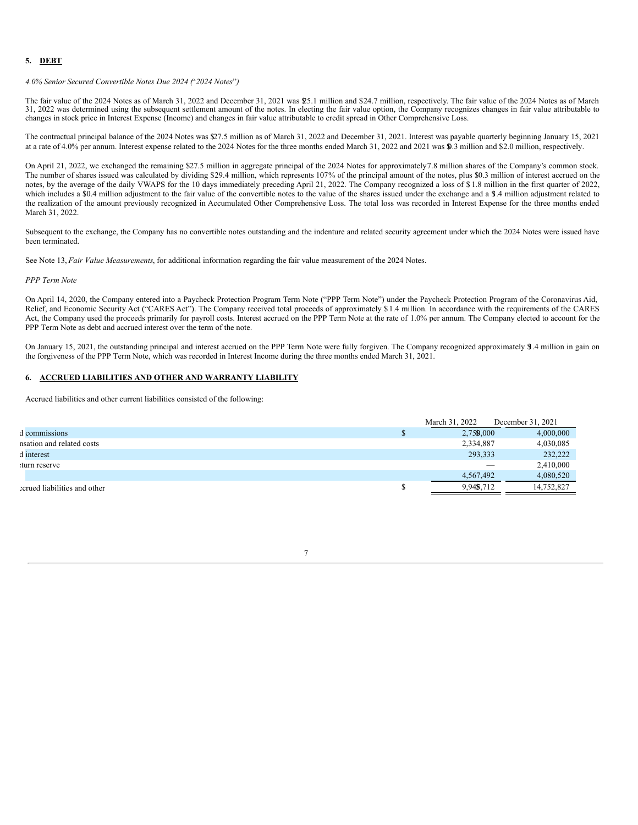## **5. DEBT**

#### *4.0% Senior Secured Convertible Notes Due 2024 (*"*2024 Notes*"*)*

The fair value of the 2024 Notes as of March 31, 2022 and December 31, 2021 was \$25.1 million and \$24.7 million, respectively. The fair value of the 2024 Notes as of March 31, 2022 was determined using the subsequent settlement amount of the notes. In electing the fair value option, the Company recognizes changes in fair value attributable to changes in stock price in Interest Expense (Income) and changes in fair value attributable to credit spread in Other Comprehensive Loss.

The contractual principal balance of the 2024 Notes was \$27.5 million as of March 31, 2022 and December 31, 2021. Interest was payable quarterly beginning January 15, 2021 at a rate of 4.0% per annum. Interest expense related to the 2024 Notes for the three months ended March 31, 2022 and 2021 was \$0.3 million and \$2.0 million, respectively.

On April 21, 2022, we exchanged the remaining \$27.5 million in aggregate principal of the 2024 Notes for approximately7.8 million shares of the Company's common stock. The number of shares issued was calculated by dividing \$29.4 million, which represents 107% of the principal amount of the notes, plus \$0.3 million of interest accrued on the notes, by the average of the daily VWAPS for the 10 days immediately preceding April 21, 2022. The Company recognized a loss of \$ 1.8 million in the first quarter of 2022, which includes a \$0.4 million adjustment to the fair value of the convertible notes to the value of the shares issued under the exchange and a \$.4 million adjustment related to the realization of the amount previously recognized in Accumulated Other Comprehensive Loss. The total loss was recorded in Interest Expense for the three months ended March 31, 2022.

Subsequent to the exchange, the Company has no convertible notes outstanding and the indenture and related security agreement under which the 2024 Notes were issued have been terminated.

See Note 13, *Fair Value Measurements*, for additional information regarding the fair value measurement of the 2024 Notes.

## *PPP Term Note*

On April 14, 2020, the Company entered into a Paycheck Protection Program Term Note ("PPP Term Note") under the Paycheck Protection Program of the Coronavirus Aid, Relief, and Economic Security Act ("CARES Act"). The Company received total proceeds of approximately \$ 1.4 million. In accordance with the requirements of the CARES Act, the Company used the proceeds primarily for payroll costs. Interest accrued on the PPP Term Note at the rate of 1.0% per annum. The Company elected to account for the PPP Term Note as debt and accrued interest over the term of the note.

On January 15, 2021, the outstanding principal and interest accrued on the PPP Term Note were fully forgiven. The Company recognized approximately \$1.4 million in gain on the forgiveness of the PPP Term Note, which was recorded in Interest Income during the three months ended March 31, 2021.

## **6. ACCRUED LIABILITIES AND OTHER AND WARRANTY LIABILITY**

Accrued liabilities and other current liabilities consisted of the following:

|                             | March 31, 2022 | December 31, 2021 |
|-----------------------------|----------------|-------------------|
| d commissions               | 2,759,000      | 4,000,000         |
| nsation and related costs   | 2,334,887      | 4,030,085         |
| d interest                  | 293,333        | 232,222           |
| turn reserve                |                | 2,410,000         |
|                             | 4,567,492      | 4,080,520         |
| crued liabilities and other | 9,945,712      | 14,752,827        |
|                             |                |                   |

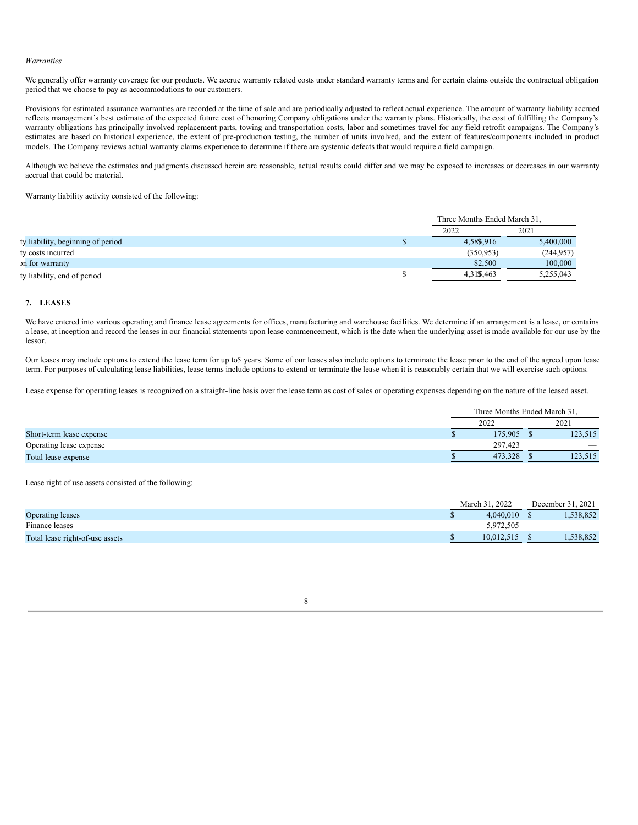#### *Warranties*

We generally offer warranty coverage for our products. We accrue warranty related costs under standard warranty terms and for certain claims outside the contractual obligation period that we choose to pay as accommodations to our customers.

Provisions for estimated assurance warranties are recorded at the time of sale and are periodically adjusted to reflect actual experience. The amount of warranty liability accrued reflects management's best estimate of the expected future cost of honoring Company obligations under the warranty plans. Historically, the cost of fulfilling the Company's warranty obligations has principally involved replacement parts, towing and transportation costs, labor and sometimes travel for any field retrofit campaigns. The Company's estimates are based on historical experience, the extent of pre-production testing, the number of units involved, and the extent of features/components included in product models. The Company reviews actual warranty claims experience to determine if there are systemic defects that would require a field campaign.

Although we believe the estimates and judgments discussed herein are reasonable, actual results could differ and we may be exposed to increases or decreases in our warranty accrual that could be material.

Warranty liability activity consisted of the following:

| 2021       |
|------------|
| 5,400,000  |
| (244, 957) |
| 100,000    |
| 5,255,043  |
|            |

## **7. LEASES**

We have entered into various operating and finance lease agreements for offices, manufacturing and warehouse facilities. We determine if an arrangement is a lease, or contains a lease, at inception and record the leases in our financial statements upon lease commencement, which is the date when the underlying asset is made available for our use by the lessor.

Our leases may include options to extend the lease term for up to5 years. Some of our leases also include options to terminate the lease prior to the end of the agreed upon lease term. For purposes of calculating lease liabilities, lease terms include options to extend or terminate the lease when it is reasonably certain that we will exercise such options.

Lease expense for operating leases is recognized on a straight-line basis over the lease term as cost of sales or operating expenses depending on the nature of the leased asset.

|                          | Three Months Ended March 31. |         |  |         |
|--------------------------|------------------------------|---------|--|---------|
|                          |                              | 2022    |  | 2021    |
| Short-term lease expense |                              | 175,905 |  | 123,515 |
| Operating lease expense  |                              | 297.423 |  | $-$     |
| Total lease expense      |                              | 473.328 |  | 123.515 |

Lease right of use assets consisted of the following:

|                                 |   | March 31, 2022 | December 31, 2021        |
|---------------------------------|---|----------------|--------------------------|
| <b>Operating leases</b>         | w | 4.040.010      | .538.852                 |
| Finance leases                  |   | 5.972.505      | $\overline{\phantom{a}}$ |
| Total lease right-of-use assets |   | 10.012.515     | .538.852                 |

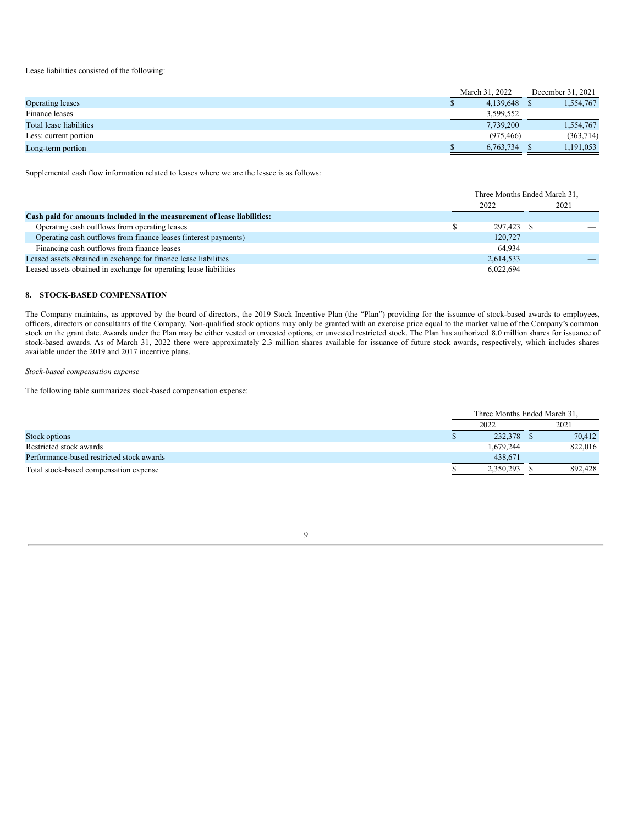Lease liabilities consisted of the following:

|                         | March 31, 2022 | December 31, 2021               |
|-------------------------|----------------|---------------------------------|
| <b>Operating leases</b> | 4,139,648      | 1,554,767                       |
| Finance leases          | 3,599,552      | $\hspace{0.1mm}-\hspace{0.1mm}$ |
| Total lease liabilities | 7,739,200      | 1,554,767                       |
| Less: current portion   | (975, 466)     | (363, 714)                      |
| Long-term portion       | 6.763.734      | 1,191,053                       |

Supplemental cash flow information related to leases where we are the lessee is as follows:

|                                                                         | Three Months Ended March 31, |            |      |
|-------------------------------------------------------------------------|------------------------------|------------|------|
|                                                                         |                              | 2022       | 2021 |
| Cash paid for amounts included in the measurement of lease liabilities: |                              |            |      |
| Operating cash outflows from operating leases                           |                              | 297.423 \$ |      |
| Operating cash outflows from finance leases (interest payments)         |                              | 120,727    |      |
| Financing cash outflows from finance leases                             |                              | 64.934     |      |
| Leased assets obtained in exchange for finance lease liabilities        |                              | 2,614,533  |      |
| Leased assets obtained in exchange for operating lease liabilities      |                              | 6,022,694  |      |

## **8. STOCK-BASED COMPENSATION**

The Company maintains, as approved by the board of directors, the 2019 Stock Incentive Plan (the "Plan") providing for the issuance of stock-based awards to employees, officers, directors or consultants of the Company. Non-qualified stock options may only be granted with an exercise price equal to the market value of the Company's common stock on the grant date. Awards under the Plan may be either vested or unvested options, or unvested restricted stock. The Plan has authorized 8.0 million shares for issuance of stock-based awards. As of March 31, 2022 there were approximately 2.3 million shares available for issuance of future stock awards, respectively, which includes shares available under the 2019 and 2017 incentive plans.

*Stock-based compensation expense*

The following table summarizes stock-based compensation expense:

|                                           | Three Months Ended March 31. |            |  |         |
|-------------------------------------------|------------------------------|------------|--|---------|
|                                           |                              | 2022       |  | 2021    |
| Stock options                             |                              | 232,378 \$ |  | 70,412  |
| Restricted stock awards                   |                              | 1.679.244  |  | 822,016 |
| Performance-based restricted stock awards |                              | 438.671    |  |         |
| Total stock-based compensation expense    |                              | 2.350.293  |  | 892,428 |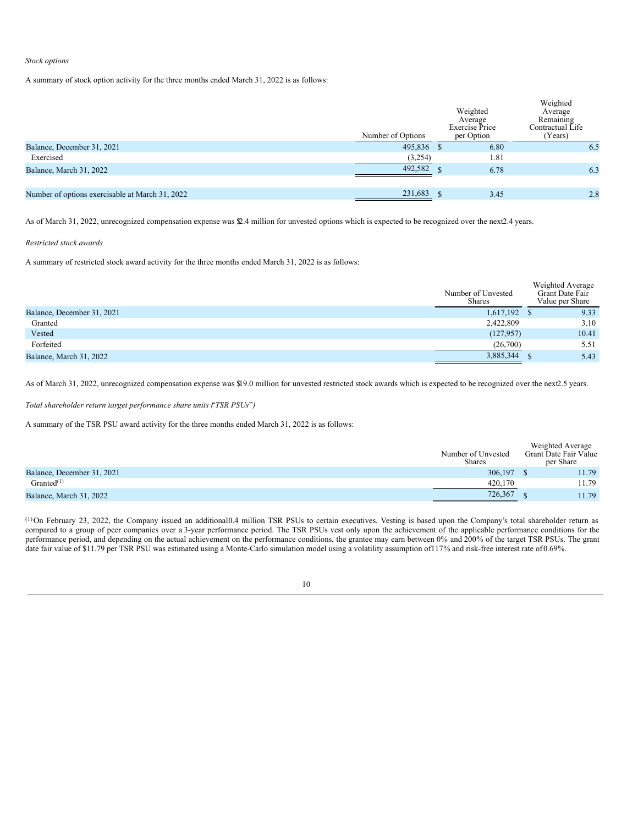## *Stock options*

A summary of stock option activity for the three months ended March 31, 2022 is as follows:

|                                                 | Number of Options | Weighted<br>Average<br><b>Exercise Price</b><br>per Option | Weighted<br>Average<br>Remaining<br>Contractual Life<br>(Years) |
|-------------------------------------------------|-------------------|------------------------------------------------------------|-----------------------------------------------------------------|
| Balance, December 31, 2021                      | 495,836 \$        | 6.80                                                       | 6.5                                                             |
| Exercised                                       | (3,254)           | 1.81                                                       |                                                                 |
| Balance, March 31, 2022                         | 492,582           | 6.78                                                       | 6.3                                                             |
|                                                 |                   |                                                            |                                                                 |
| Number of options exercisable at March 31, 2022 | 231,683 \$        | 3.45                                                       | 2.8                                                             |

As of March 31, 2022, unrecognized compensation expense was \$2.4 million for unvested options which is expected to be recognized over the next2.4 years.

## *Restricted stock awards*

A summary of restricted stock award activity for the three months ended March 31, 2022 is as follows:

|                            | Number of Unvested<br><b>Shares</b> | Weighted Average<br>Grant Date Fair<br>Value per Share |
|----------------------------|-------------------------------------|--------------------------------------------------------|
| Balance, December 31, 2021 | $1,617,192$ \$                      | 9.33                                                   |
| Granted                    | 2,422,809                           | 3.10                                                   |
| Vested                     | (127, 957)                          | 10.41                                                  |
| Forfeited                  | (26,700)                            | 5.51                                                   |
| Balance, March 31, 2022    | 3,885,344                           | 5.43                                                   |

As of March 31, 2022, unrecognized compensation expense was \$19.0 million for unvested restricted stock awards which is expected to be recognized over the next2.5 years.

*Total shareholder return target performance share units (*"*TSR PSUs*"*)*

A summary of the TSR PSU award activity for the three months ended March 31, 2022 is as follows:

|                            | Number of Unvested<br><b>Shares</b> | Weighted Average<br>Grant Date Fair Value<br>per Share |
|----------------------------|-------------------------------------|--------------------------------------------------------|
| Balance, December 31, 2021 | 306,197                             | 11.79                                                  |
| Granted $(1)$              | 420,170                             | 11.79                                                  |
| Balance, March 31, 2022    | 726,367                             | 11.79                                                  |

 $(1)$ On February 23, 2022, the Company issued an additional0.4 million TSR PSUs to certain executives. Vesting is based upon the Company's total shareholder return as compared to a group of peer companies over a 3-year performance period. The TSR PSUs vest only upon the achievement of the applicable performance conditions for the performance period, and depending on the actual achievement on the performance conditions, the grantee may earn between 0% and 200% of the target TSR PSUs. The grant date fair value of \$11.79 per TSR PSU was estimated using a Monte-Carlo simulation model using a volatility assumption of117% and risk-free interest rate of 0.69%.

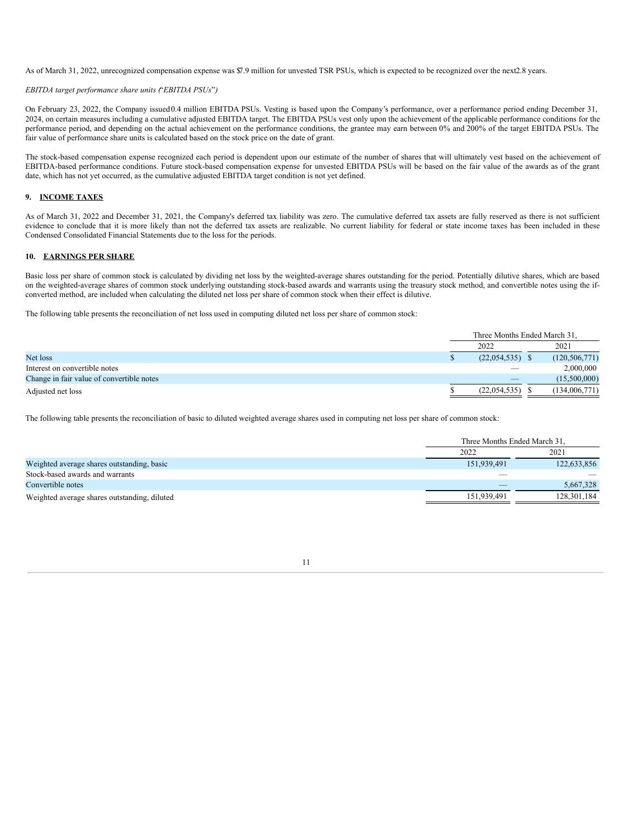As of March 31, 2022, unrecognized compensation expense was \$7.9 million for unvested TSR PSUs, which is expected to be recognized over the next2.8 years.

## *EBITDA target performance share units (*"*EBITDA PSUs*"*)*

On February 23, 2022, the Company issued0.4 million EBITDA PSUs. Vesting is based upon the Company's performance, over a performance period ending December 31, 2024, on certain measures including a cumulative adjusted EBITDA target. The EBITDA PSUs vest only upon the achievement of the applicable performance conditions for the performance period, and depending on the actual achievement on the performance conditions, the grantee may earn between 0% and 200% of the target EBITDA PSUs. The fair value of performance share units is calculated based on the stock price on the date of grant.

The stock-based compensation expense recognized each period is dependent upon our estimate of the number of shares that will ultimately vest based on the achievement of EBITDA-based performance conditions. Future stock-based compensation expense for unvested EBITDA PSUs will be based on the fair value of the awards as of the grant date, which has not yet occurred, as the cumulative adjusted EBITDA target condition is not yet defined.

## **9. INCOME TAXES**

As of March 31, 2022 and December 31, 2021, the Company's deferred tax liability was zero. The cumulative deferred tax assets are fully reserved as there is not sufficient evidence to conclude that it is more likely than not the deferred tax assets are realizable. No current liability for federal or state income taxes has been included in these Condensed Consolidated Financial Statements due to the loss for the periods.

## **10. EARNINGS PER SHARE**

Basic loss per share of common stock is calculated by dividing net loss by the weighted-average shares outstanding for the period. Potentially dilutive shares, which are based on the weighted-average shares of common stock underlying outstanding stock-based awards and warrants using the treasury stock method, and convertible notes using the ifconverted method, are included when calculating the diluted net loss per share of common stock when their effect is dilutive.

The following table presents the reconciliation of net loss used in computing diluted net loss per share of common stock:

|                                           | Three Months Ended March 31. |  |                 |
|-------------------------------------------|------------------------------|--|-----------------|
|                                           | 2022                         |  | 2021            |
| Net loss                                  | $(22,054,535)$ \$            |  | (120, 506, 771) |
| Interest on convertible notes             | $\overline{\phantom{a}}$     |  | 2,000,000       |
| Change in fair value of convertible notes | $\overline{\phantom{a}}$     |  | (15,500,000)    |
| Adjusted net loss                         | (22,054,535)                 |  | (134,006,771)   |

The following table presents the reconciliation of basic to diluted weighted average shares used in computing net loss per share of common stock:

|                                              | Three Months Ended March 31, |             |  |
|----------------------------------------------|------------------------------|-------------|--|
|                                              | 2022                         | 2021        |  |
| Weighted average shares outstanding, basic   | 151.939.491                  | 122,633,856 |  |
| Stock-based awards and warrants              |                              |             |  |
| Convertible notes                            | _                            | 5,667,328   |  |
| Weighted average shares outstanding, diluted | 151.939.491                  | 128,301,184 |  |

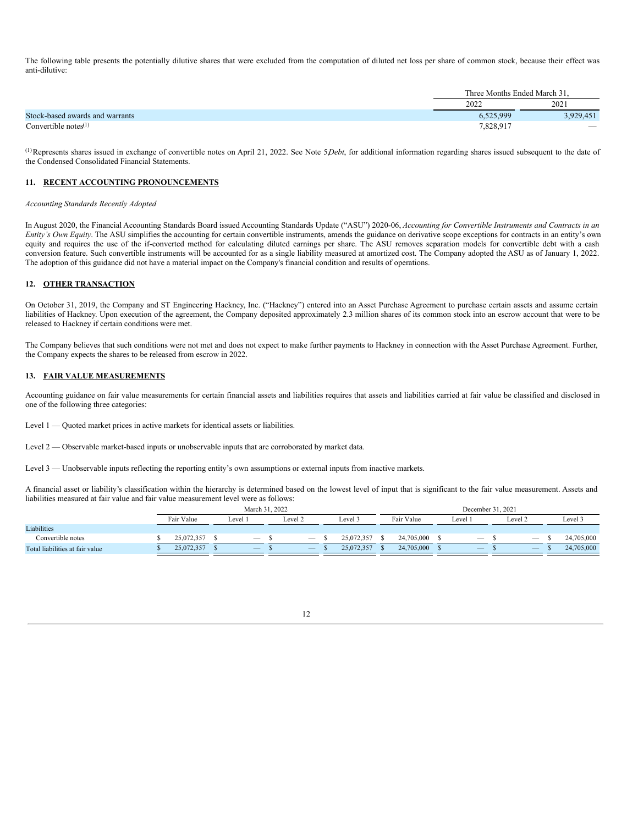The following table presents the potentially dilutive shares that were excluded from the computation of diluted net loss per share of common stock, because their effect was anti-dilutive:

|                                 | Three Months Ended March 31. |                                |  |
|---------------------------------|------------------------------|--------------------------------|--|
|                                 | 2022                         | 2021                           |  |
| Stock-based awards and warrants | 6,525,999                    | 3,929,451                      |  |
| Convertible notes $(1)$         | 7,828,917                    | $\overbrace{\hspace{25mm}}^{}$ |  |

 $(1)$  Represents shares issued in exchange of convertible notes on April 21, 2022. See Note 5 $Debt$ , for additional information regarding shares issued subsequent to the date of the Condensed Consolidated Financial Statements.

## **11. RECENT ACCOUNTING PRONOUNCEMENTS**

*Accounting Standards Recently Adopted*

In August 2020, the Financial Accounting Standards Board issued Accounting Standards Update ("ASU") 2020-06, *Accounting for Convertible Instruments and Contracts in an Entity's Own Equity*. The ASU simplifies the accounting for certain convertible instruments, amends the guidance on derivative scope exceptions for contracts in an entity's own equity and requires the use of the if-converted method for calculating diluted earnings per share. The ASU removes separation models for convertible debt with a cash conversion feature. Such convertible instruments will be accounted for as a single liability measured at amortized cost. The Company adopted the ASU as of January 1, 2022. The adoption of this guidance did not have a material impact on the Company's financial condition and results of operations.

## **12. OTHER TRANSACTION**

On October 31, 2019, the Company and ST Engineering Hackney, Inc. ("Hackney") entered into an Asset Purchase Agreement to purchase certain assets and assume certain liabilities of Hackney. Upon execution of the agreement, the Company deposited approximately 2.3 million shares of its common stock into an escrow account that were to be released to Hackney if certain conditions were met.

The Company believes that such conditions were not met and does not expect to make further payments to Hackney in connection with the Asset Purchase Agreement. Further, the Company expects the shares to be released from escrow in 2022.

## **13. FAIR VALUE MEASUREMENTS**

Accounting guidance on fair value measurements for certain financial assets and liabilities requires that assets and liabilities carried at fair value be classified and disclosed in one of the following three categories:

Level 1 — Quoted market prices in active markets for identical assets or liabilities.

Level 2 — Observable market-based inputs or unobservable inputs that are corroborated by market data.

Level 3 — Unobservable inputs reflecting the reporting entity's own assumptions or external inputs from inactive markets.

A financial asset or liability's classification within the hierarchy is determined based on the lowest level of input that is significant to the fair value measurement. Assets and liabilities measured at fair value and fair value measurement level were as follows:

|                                 | March 31, 2022 |  |                   |  |                                 |      | December 31, 2021 |  |            |  |                          |  |                          |  |            |
|---------------------------------|----------------|--|-------------------|--|---------------------------------|------|-------------------|--|------------|--|--------------------------|--|--------------------------|--|------------|
|                                 | Fair Value     |  | _evel             |  | Level 2                         |      | Level 3           |  | Fair Value |  | ∟evel                    |  | Level 2                  |  | Level 3    |
| Liabilities                     |                |  |                   |  |                                 |      |                   |  |            |  |                          |  |                          |  |            |
| Convertible notes               | 25,072,357     |  | $\qquad \qquad -$ |  | $\hspace{0.1mm}-\hspace{0.1mm}$ |      | 25.072.357        |  | 24,705,000 |  | $\overline{\phantom{a}}$ |  | $\overline{\phantom{m}}$ |  | 24,705,000 |
| Total liabilities at fair value | 25,072,357     |  |                   |  | $\overline{\phantom{a}}$        | - 19 | 25,072,357        |  | 24,705,000 |  |                          |  |                          |  | 24,705,000 |

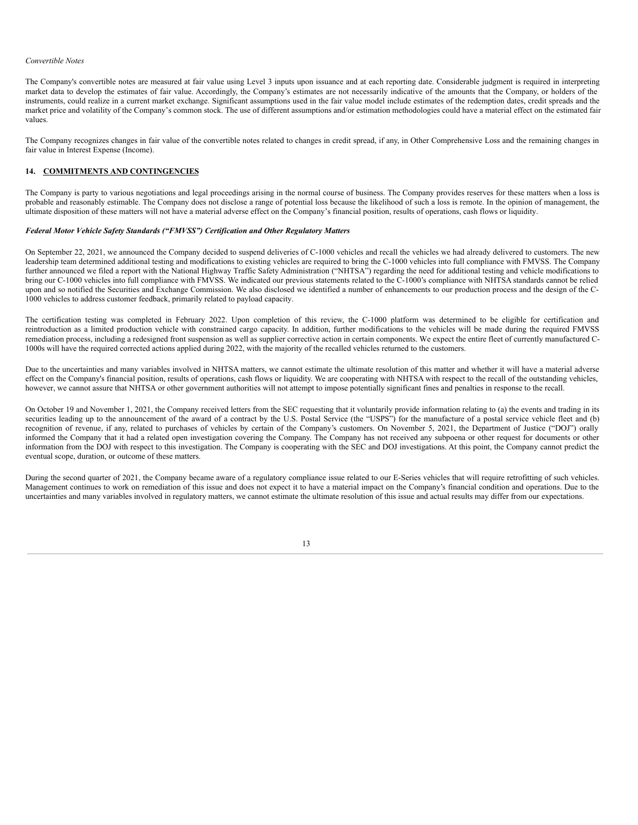#### *Convertible Notes*

The Company's convertible notes are measured at fair value using Level 3 inputs upon issuance and at each reporting date. Considerable judgment is required in interpreting market data to develop the estimates of fair value. Accordingly, the Company's estimates are not necessarily indicative of the amounts that the Company, or holders of the instruments, could realize in a current market exchange. Significant assumptions used in the fair value model include estimates of the redemption dates, credit spreads and the market price and volatility of the Company's common stock. The use of different assumptions and/or estimation methodologies could have a material effect on the estimated fair values.

The Company recognizes changes in fair value of the convertible notes related to changes in credit spread, if any, in Other Comprehensive Loss and the remaining changes in fair value in Interest Expense (Income).

## **14. COMMITMENTS AND CONTINGENCIES**

The Company is party to various negotiations and legal proceedings arising in the normal course of business. The Company provides reserves for these matters when a loss is probable and reasonably estimable. The Company does not disclose a range of potential loss because the likelihood of such a loss is remote. In the opinion of management, the ultimate disposition of these matters will not have a material adverse effect on the Company's financial position, results of operations, cash flows or liquidity.

## *Federal Motor Vehicle Safety Standards ("FMVSS") Certification and Other Regulatory Matters*

On September 22, 2021, we announced the Company decided to suspend deliveries of C-1000 vehicles and recall the vehicles we had already delivered to customers. The new leadership team determined additional testing and modifications to existing vehicles are required to bring the C-1000 vehicles into full compliance with FMVSS. The Company further announced we filed a report with the National Highway Traffic Safety Administration ("NHTSA") regarding the need for additional testing and vehicle modifications to bring our C-1000 vehicles into full compliance with FMVSS. We indicated our previous statements related to the C-1000's compliance with NHTSA standards cannot be relied upon and so notified the Securities and Exchange Commission. We also disclosed we identified a number of enhancements to our production process and the design of the C-1000 vehicles to address customer feedback, primarily related to payload capacity.

The certification testing was completed in February 2022. Upon completion of this review, the C-1000 platform was determined to be eligible for certification and reintroduction as a limited production vehicle with constrained cargo capacity. In addition, further modifications to the vehicles will be made during the required FMVSS remediation process, including a redesigned front suspension as well as supplier corrective action in certain components. We expect the entire fleet of currently manufactured C-1000s will have the required corrected actions applied during 2022, with the majority of the recalled vehicles returned to the customers.

Due to the uncertainties and many variables involved in NHTSA matters, we cannot estimate the ultimate resolution of this matter and whether it will have a material adverse effect on the Company's financial position, results of operations, cash flows or liquidity. We are cooperating with NHTSA with respect to the recall of the outstanding vehicles, however, we cannot assure that NHTSA or other government authorities will not attempt to impose potentially significant fines and penalties in response to the recall.

On October 19 and November 1, 2021, the Company received letters from the SEC requesting that it voluntarily provide information relating to (a) the events and trading in its securities leading up to the announcement of the award of a contract by the U.S. Postal Service (the "USPS") for the manufacture of a postal service vehicle fleet and (b) recognition of revenue, if any, related to purchases of vehicles by certain of the Company's customers. On November 5, 2021, the Department of Justice ("DOJ") orally informed the Company that it had a related open investigation covering the Company. The Company has not received any subpoena or other request for documents or other information from the DOJ with respect to this investigation. The Company is cooperating with the SEC and DOJ investigations. At this point, the Company cannot predict the eventual scope, duration, or outcome of these matters.

During the second quarter of 2021, the Company became aware of a regulatory compliance issue related to our E-Series vehicles that will require retrofitting of such vehicles. Management continues to work on remediation of this issue and does not expect it to have a material impact on the Company's financial condition and operations. Due to the uncertainties and many variables involved in regulatory matters, we cannot estimate the ultimate resolution of this issue and actual results may differ from our expectations.

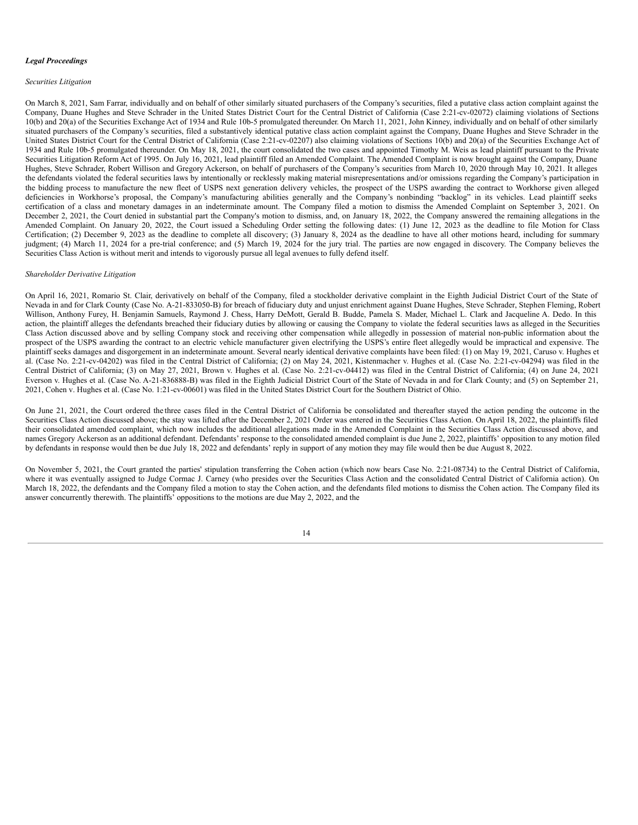### *Legal Proceedings*

#### *Securities Litigation*

On March 8, 2021, Sam Farrar, individually and on behalf of other similarly situated purchasers of the Company's securities, filed a putative class action complaint against the Company, Duane Hughes and Steve Schrader in the United States District Court for the Central District of California (Case 2:21-cv-02072) claiming violations of Sections 10(b) and 20(a) of the Securities Exchange Act of 1934 and Rule 10b-5 promulgated thereunder. On March 11, 2021, John Kinney, individually and on behalf of other similarly situated purchasers of the Company's securities, filed a substantively identical putative class action complaint against the Company, Duane Hughes and Steve Schrader in the United States District Court for the Central District of California (Case 2:21-cv-02207) also claiming violations of Sections 10(b) and 20(a) of the Securities Exchange Act of 1934 and Rule 10b-5 promulgated thereunder. On May 18, 2021, the court consolidated the two cases and appointed Timothy M. Weis as lead plaintiff pursuant to the Private Securities Litigation Reform Act of 1995. On July 16, 2021, lead plaintiff filed an Amended Complaint. The Amended Complaint is now brought against the Company, Duane Hughes, Steve Schrader, Robert Willison and Gregory Ackerson, on behalf of purchasers of the Company's securities from March 10, 2020 through May 10, 2021. It alleges the defendants violated the federal securities laws by intentionally or recklessly making material misrepresentations and/or omissions regarding the Company's participation in the bidding process to manufacture the new fleet of USPS next generation delivery vehicles, the prospect of the USPS awarding the contract to Workhorse given alleged deficiencies in Workhorse's proposal, the Company's manufacturing abilities generally and the Company's nonbinding "backlog" in its vehicles. Lead plaintiff seeks certification of a class and monetary damages in an indeterminate amount. The Company filed a motion to dismiss the Amended Complaint on September 3, 2021. On December 2, 2021, the Court denied in substantial part the Company's motion to dismiss, and, on January 18, 2022, the Company answered the remaining allegations in the Amended Complaint. On January 20, 2022, the Court issued a Scheduling Order setting the following dates: (1) June 12, 2023 as the deadline to file Motion for Class Certification; (2) December 9, 2023 as the deadline to complete all discovery; (3) January 8, 2024 as the deadline to have all other motions heard, including for summary judgment; (4) March 11, 2024 for a pre-trial conference; and (5) March 19, 2024 for the jury trial. The parties are now engaged in discovery. The Company believes the Securities Class Action is without merit and intends to vigorously pursue all legal avenues to fully defend itself.

### *Shareholder Derivative Litigation*

On April 16, 2021, Romario St. Clair, derivatively on behalf of the Company, filed a stockholder derivative complaint in the Eighth Judicial District Court of the State of Nevada in and for Clark County (Case No. A-21-833050-B) for breach of fiduciary duty and unjust enrichment against Duane Hughes, Steve Schrader, Stephen Fleming, Robert Willison, Anthony Furey, H. Benjamin Samuels, Raymond J. Chess, Harry DeMott, Gerald B. Budde, Pamela S. Mader, Michael L. Clark and Jacqueline A. Dedo. In this action, the plaintiff alleges the defendants breached their fiduciary duties by allowing or causing the Company to violate the federal securities laws as alleged in the Securities Class Action discussed above and by selling Company stock and receiving other compensation while allegedly in possession of material non-public information about the prospect of the USPS awarding the contract to an electric vehicle manufacturer given electrifying the USPS's entire fleet allegedly would be impractical and expensive. The plaintiff seeks damages and disgorgement in an indeterminate amount. Several nearly identical derivative complaints have been filed: (1) on May 19, 2021, Caruso v. Hughes et al. (Case No. 2:21-cv-04202) was filed in the Central District of California; (2) on May 24, 2021, Kistenmacher v. Hughes et al. (Case No. 2:21-cv-04294) was filed in the Central District of California; (3) on May 27, 2021, Brown v. Hughes et al. (Case No. 2:21-cv-04412) was filed in the Central District of California; (4) on June 24, 2021 Everson v. Hughes et al. (Case No. A-21-836888-B) was filed in the Eighth Judicial District Court of the State of Nevada in and for Clark County; and (5) on September 21, 2021, Cohen v. Hughes et al. (Case No. 1:21-cv-00601) was filed in the United States District Court for the Southern District of Ohio.

On June 21, 2021, the Court ordered the three cases filed in the Central District of California be consolidated and thereafter stayed the action pending the outcome in the Securities Class Action discussed above; the stay was lifted after the December 2, 2021 Order was entered in the Securities Class Action. On April 18, 2022, the plaintiffs filed their consolidated amended complaint, which now includes the additional allegations made in the Amended Complaint in the Securities Class Action discussed above, and names Gregory Ackerson as an additional defendant. Defendants' response to the consolidated amended complaint is due June 2, 2022, plaintiffs' opposition to any motion filed by defendants in response would then be due July 18, 2022 and defendants' reply in support of any motion they may file would then be due August 8, 2022.

On November 5, 2021, the Court granted the parties' stipulation transferring the Cohen action (which now bears Case No. 2:21-08734) to the Central District of California, where it was eventually assigned to Judge Cormac J. Carney (who presides over the Securities Class Action and the consolidated Central District of California action). On March 18, 2022, the defendants and the Company filed a motion to stay the Cohen action, and the defendants filed motions to dismiss the Cohen action. The Company filed its answer concurrently therewith. The plaintiffs' oppositions to the motions are due May 2, 2022, and the

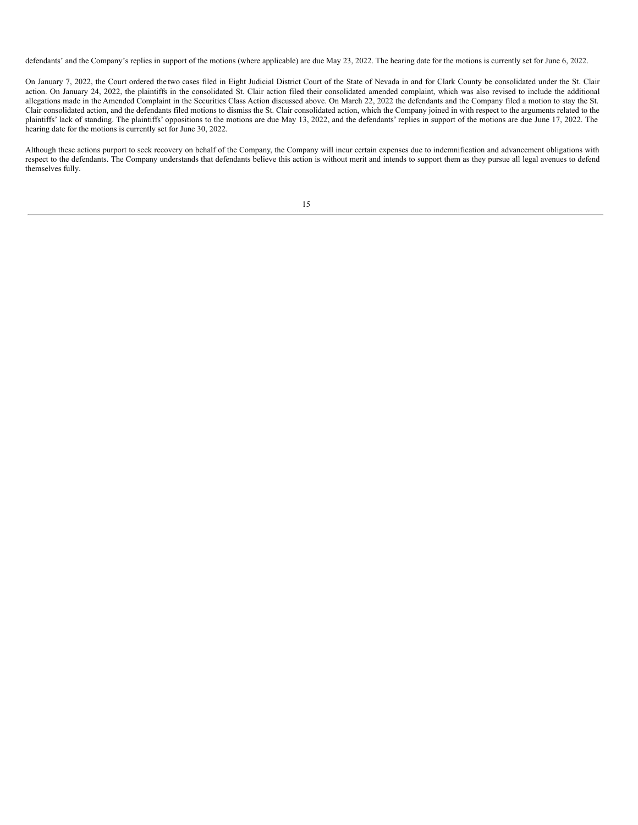defendants' and the Company's replies in support of the motions (where applicable) are due May 23, 2022. The hearing date for the motions is currently set for June 6, 2022.

On January 7, 2022, the Court ordered the two cases filed in Eight Judicial District Court of the State of Nevada in and for Clark County be consolidated under the St. Clair action. On January 24, 2022, the plaintiffs in the consolidated St. Clair action filed their consolidated amended complaint, which was also revised to include the additional allegations made in the Amended Complaint in the Securities Class Action discussed above. On March 22, 2022 the defendants and the Company filed a motion to stay the St. Clair consolidated action, and the defendants filed motions to dismiss the St. Clair consolidated action, which the Company joined in with respect to the arguments related to the plaintiffs' lack of standing. The plaintiffs' oppositions to the motions are due May 13, 2022, and the defendants' replies in support of the motions are due June 17, 2022. The hearing date for the motions is currently set for June 30, 2022.

<span id="page-17-0"></span>Although these actions purport to seek recovery on behalf of the Company, the Company will incur certain expenses due to indemnification and advancement obligations with respect to the defendants. The Company understands that defendants believe this action is without merit and intends to support them as they pursue all legal avenues to defend themselves fully.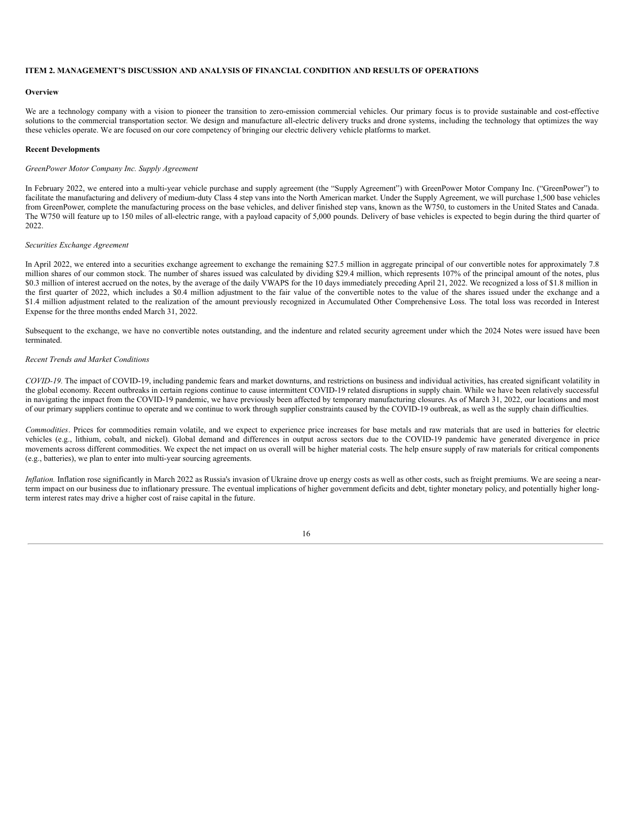### **ITEM 2. MANAGEMENT'S DISCUSSION AND ANALYSIS OF FINANCIAL CONDITION AND RESULTS OF OPERATIONS**

#### **Overview**

We are a technology company with a vision to pioneer the transition to zero-emission commercial vehicles. Our primary focus is to provide sustainable and cost-effective solutions to the commercial transportation sector. We design and manufacture all-electric delivery trucks and drone systems, including the technology that optimizes the way these vehicles operate. We are focused on our core competency of bringing our electric delivery vehicle platforms to market.

#### **Recent Developments**

#### *GreenPower Motor Company Inc. Supply Agreement*

In February 2022, we entered into a multi-year vehicle purchase and supply agreement (the "Supply Agreement") with GreenPower Motor Company Inc. ("GreenPower") to facilitate the manufacturing and delivery of medium-duty Class 4 step vans into the North American market. Under the Supply Agreement, we will purchase 1,500 base vehicles from GreenPower, complete the manufacturing process on the base vehicles, and deliver finished step vans, known as the W750, to customers in the United States and Canada. The W750 will feature up to 150 miles of all-electric range, with a payload capacity of 5,000 pounds. Delivery of base vehicles is expected to begin during the third quarter of 2022.

## *Securities Exchange Agreement*

In April 2022, we entered into a securities exchange agreement to exchange the remaining \$27.5 million in aggregate principal of our convertible notes for approximately 7.8 million shares of our common stock. The number of shares issued was calculated by dividing \$29.4 million, which represents 107% of the principal amount of the notes, plus \$0.3 million of interest accrued on the notes, by the average of the daily VWAPS for the 10 days immediately preceding April 21, 2022. We recognized a loss of \$1.8 million in the first quarter of 2022, which includes a \$0.4 million adjustment to the fair value of the convertible notes to the value of the shares issued under the exchange and a \$1.4 million adjustment related to the realization of the amount previously recognized in Accumulated Other Comprehensive Loss. The total loss was recorded in Interest Expense for the three months ended March 31, 2022.

Subsequent to the exchange, we have no convertible notes outstanding, and the indenture and related security agreement under which the 2024 Notes were issued have been terminated.

### *Recent Trends and Market Conditions*

*COVID-19.* The impact of COVID-19, including pandemic fears and market downturns, and restrictions on business and individual activities, has created significant volatility in the global economy. Recent outbreaks in certain regions continue to cause intermittent COVID-19 related disruptions in supply chain. While we have been relatively successful in navigating the impact from the COVID-19 pandemic, we have previously been affected by temporary manufacturing closures. As of March 31, 2022, our locations and most of our primary suppliers continue to operate and we continue to work through supplier constraints caused by the COVID-19 outbreak, as well as the supply chain difficulties.

*Commodities*. Prices for commodities remain volatile, and we expect to experience price increases for base metals and raw materials that are used in batteries for electric vehicles (e.g., lithium, cobalt, and nickel). Global demand and differences in output across sectors due to the COVID-19 pandemic have generated divergence in price movements across different commodities. We expect the net impact on us overall will be higher material costs. The help ensure supply of raw materials for critical components (e.g., batteries), we plan to enter into multi-year sourcing agreements.

*Inflation*. Inflation rose significantly in March 2022 as Russia's invasion of Ukraine drove up energy costs as well as other costs, such as freight premiums. We are seeing a nearterm impact on our business due to inflationary pressure. The eventual implications of higher government deficits and debt, tighter monetary policy, and potentially higher longterm interest rates may drive a higher cost of raise capital in the future.

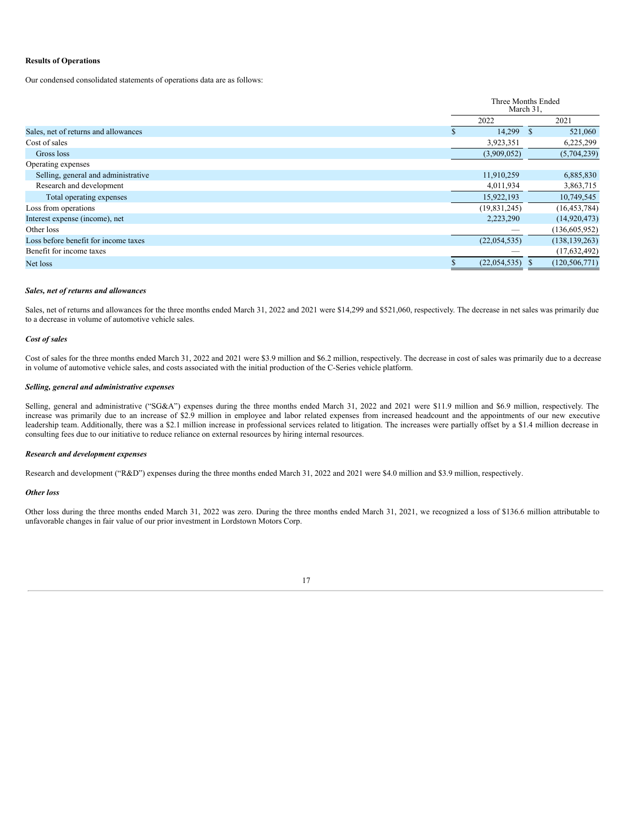## **Results of Operations**

Our condensed consolidated statements of operations data are as follows:

|                                      | Three Months Ended<br>March 31, |                   |  |                 |
|--------------------------------------|---------------------------------|-------------------|--|-----------------|
|                                      | 2022                            |                   |  | 2021            |
| Sales, net of returns and allowances |                                 | 14,299 \$         |  | 521,060         |
| Cost of sales                        |                                 | 3,923,351         |  | 6,225,299       |
| Gross loss                           |                                 | (3,909,052)       |  | (5,704,239)     |
| Operating expenses                   |                                 |                   |  |                 |
| Selling, general and administrative  |                                 | 11,910,259        |  | 6,885,830       |
| Research and development             |                                 | 4,011,934         |  | 3,863,715       |
| Total operating expenses             |                                 | 15,922,193        |  | 10,749,545      |
| Loss from operations                 |                                 | (19, 831, 245)    |  | (16, 453, 784)  |
| Interest expense (income), net       |                                 | 2,223,290         |  | (14,920,473)    |
| Other loss                           |                                 | __                |  | (136,605,952)   |
| Loss before benefit for income taxes |                                 | (22.054, 535)     |  | (138, 139, 263) |
| Benefit for income taxes             |                                 |                   |  | (17,632,492)    |
| Net loss                             |                                 | $(22,054,535)$ \$ |  | (120, 506, 771) |

### *Sales, net of returns and allowances*

Sales, net of returns and allowances for the three months ended March 31, 2022 and 2021 were \$14,299 and \$521,060, respectively. The decrease in net sales was primarily due to a decrease in volume of automotive vehicle sales.

## *Cost of sales*

Cost of sales for the three months ended March 31, 2022 and 2021 were \$3.9 million and \$6.2 million, respectively. The decrease in cost of sales was primarily due to a decrease in volume of automotive vehicle sales, and costs associated with the initial production of the C-Series vehicle platform.

### *Selling, general and administrative expenses*

Selling, general and administrative ("SG&A") expenses during the three months ended March 31, 2022 and 2021 were \$11.9 million and \$6.9 million, respectively. The increase was primarily due to an increase of \$2.9 million in employee and labor related expenses from increased headcount and the appointments of our new executive leadership team. Additionally, there was a \$2.1 million increase in professional services related to litigation. The increases were partially offset by a \$1.4 million decrease in consulting fees due to our initiative to reduce reliance on external resources by hiring internal resources.

### *Research and development expenses*

Research and development ("R&D") expenses during the three months ended March 31, 2022 and 2021 were \$4.0 million and \$3.9 million, respectively.

## *Other loss*

Other loss during the three months ended March 31, 2022 was zero. During the three months ended March 31, 2021, we recognized a loss of \$136.6 million attributable to unfavorable changes in fair value of our prior investment in Lordstown Motors Corp.

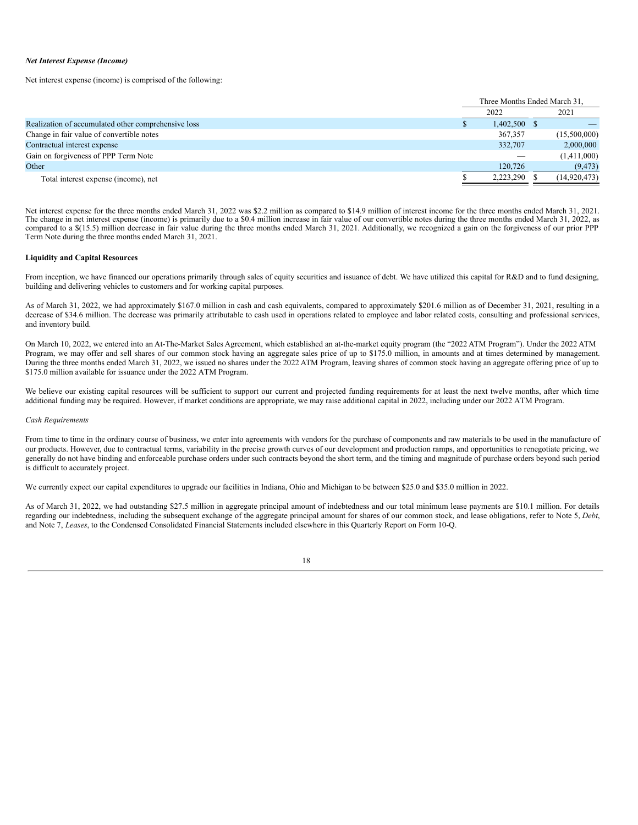#### *Net Interest Expense (Income)*

Net interest expense (income) is comprised of the following:

|                                                     | Three Months Ended March 31, |              |  |              |  |
|-----------------------------------------------------|------------------------------|--------------|--|--------------|--|
|                                                     |                              | 2022         |  | 2021         |  |
| Realization of accumulated other comprehensive loss |                              | 1,402,500 \$ |  |              |  |
| Change in fair value of convertible notes           |                              | 367,357      |  | (15,500,000) |  |
| Contractual interest expense                        |                              | 332,707      |  | 2,000,000    |  |
| Gain on forgiveness of PPP Term Note                |                              |              |  | (1,411,000)  |  |
| Other                                               |                              | 120,726      |  | (9, 473)     |  |
| Total interest expense (income), net                |                              | 2,223,290    |  | (14,920,473) |  |

Net interest expense for the three months ended March 31, 2022 was \$2.2 million as compared to \$14.9 million of interest income for the three months ended March 31, 2021. The change in net interest expense (income) is primarily due to a \$0.4 million increase in fair value of our convertible notes during the three months ended March 31, 2022, as compared to a \$(15.5) million decrease in fair value during the three months ended March 31, 2021. Additionally, we recognized a gain on the forgiveness of our prior PPP Term Note during the three months ended March 31, 2021.

### **Liquidity and Capital Resources**

From inception, we have financed our operations primarily through sales of equity securities and issuance of debt. We have utilized this capital for R&D and to fund designing, building and delivering vehicles to customers and for working capital purposes.

As of March 31, 2022, we had approximately \$167.0 million in cash and cash equivalents, compared to approximately \$201.6 million as of December 31, 2021, resulting in a decrease of \$34.6 million. The decrease was primarily attributable to cash used in operations related to employee and labor related costs, consulting and professional services, and inventory build.

On March 10, 2022, we entered into an At-The-Market Sales Agreement, which established an at-the-market equity program (the "2022 ATM Program"). Under the 2022 ATM Program, we may offer and sell shares of our common stock having an aggregate sales price of up to \$175.0 million, in amounts and at times determined by management. During the three months ended March 31, 2022, we issued no shares under the 2022 ATM Program, leaving shares of common stock having an aggregate offering price of up to \$175.0 million available for issuance under the 2022 ATM Program.

We believe our existing capital resources will be sufficient to support our current and projected funding requirements for at least the next twelve months, after which time additional funding may be required. However, if market conditions are appropriate, we may raise additional capital in 2022, including under our 2022 ATM Program.

#### *Cash Requirements*

From time to time in the ordinary course of business, we enter into agreements with vendors for the purchase of components and raw materials to be used in the manufacture of our products. However, due to contractual terms, variability in the precise growth curves of our development and production ramps, and opportunities to renegotiate pricing, we generally do not have binding and enforceable purchase orders under such contracts beyond the short term, and the timing and magnitude of purchase orders beyond such period is difficult to accurately project.

We currently expect our capital expenditures to upgrade our facilities in Indiana, Ohio and Michigan to be between \$25.0 and \$35.0 million in 2022.

As of March 31, 2022, we had outstanding \$27.5 million in aggregate principal amount of indebtedness and our total minimum lease payments are \$10.1 million. For details regarding our indebtedness, including the subsequent exchange of the aggregate principal amount for shares of our common stock, and lease obligations, refer to Note 5, *Debt*, and Note 7, *Leases*, to the Condensed Consolidated Financial Statements included elsewhere in this Quarterly Report on Form 10-Q.

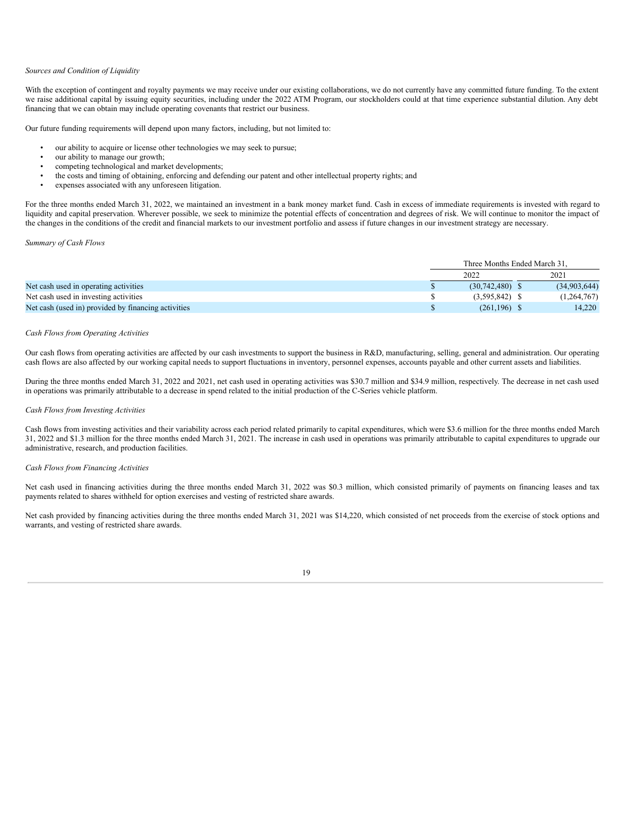#### *Sources and Condition of Liquidity*

With the exception of contingent and royalty payments we may receive under our existing collaborations, we do not currently have any committed future funding. To the extent we raise additional capital by issuing equity securities, including under the 2022 ATM Program, our stockholders could at that time experience substantial dilution. Any debt financing that we can obtain may include operating covenants that restrict our business.

Our future funding requirements will depend upon many factors, including, but not limited to:

- our ability to acquire or license other technologies we may seek to pursue;
- our ability to manage our growth;
- competing technological and market developments;
- the costs and timing of obtaining, enforcing and defending our patent and other intellectual property rights; and
- expenses associated with any unforeseen litigation.

For the three months ended March 31, 2022, we maintained an investment in a bank money market fund. Cash in excess of immediate requirements is invested with regard to liquidity and capital preservation. Wherever possible, we seek to minimize the potential effects of concentration and degrees of risk. We will continue to monitor the impact of the changes in the conditions of the credit and financial markets to our investment portfolio and assess if future changes in our investment strategy are necessary.

*Summary of Cash Flows*

|                                                     | Three Months Ended March 31. |  |              |  |
|-----------------------------------------------------|------------------------------|--|--------------|--|
|                                                     | 2022                         |  | 2021         |  |
| Net cash used in operating activities               | $(30.742.480)$ \$            |  | (34.903.644) |  |
| Net cash used in investing activities               | $(3.595.842)$ \$             |  | (1,264,767)  |  |
| Net cash (used in) provided by financing activities | $(261, 196)$ \$              |  | 14.220       |  |

## *Cash Flows from Operating Activities*

Our cash flows from operating activities are affected by our cash investments to support the business in R&D, manufacturing, selling, general and administration. Our operating cash flows are also affected by our working capital needs to support fluctuations in inventory, personnel expenses, accounts payable and other current assets and liabilities.

During the three months ended March 31, 2022 and 2021, net cash used in operating activities was \$30.7 million and \$34.9 million, respectively. The decrease in net cash used in operations was primarily attributable to a decrease in spend related to the initial production of the C-Series vehicle platform.

#### *Cash Flows from Investing Activities*

Cash flows from investing activities and their variability across each period related primarily to capital expenditures, which were \$3.6 million for the three months ended March 31, 2022 and \$1.3 million for the three months ended March 31, 2021. The increase in cash used in operations was primarily attributable to capital expenditures to upgrade our administrative, research, and production facilities.

## *Cash Flows from Financing Activities*

Net cash used in financing activities during the three months ended March 31, 2022 was \$0.3 million, which consisted primarily of payments on financing leases and tax payments related to shares withheld for option exercises and vesting of restricted share awards.

Net cash provided by financing activities during the three months ended March 31, 2021 was \$14,220, which consisted of net proceeds from the exercise of stock options and warrants, and vesting of restricted share awards.

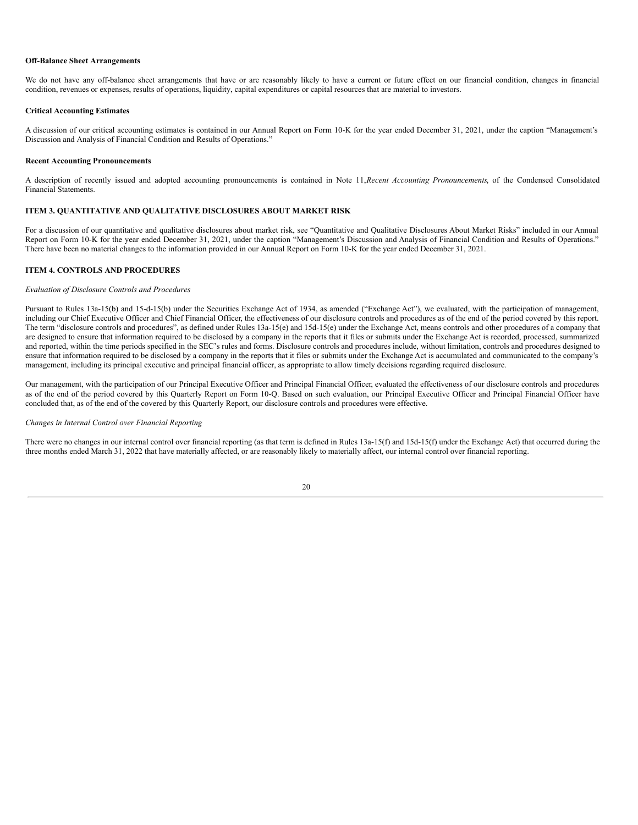#### **Off-Balance Sheet Arrangements**

We do not have any off-balance sheet arrangements that have or are reasonably likely to have a current or future effect on our financial condition, changes in financial condition, revenues or expenses, results of operations, liquidity, capital expenditures or capital resources that are material to investors.

#### **Critical Accounting Estimates**

A discussion of our critical accounting estimates is contained in our Annual Report on Form 10-K for the year ended December 31, 2021, under the caption "Management's Discussion and Analysis of Financial Condition and Results of Operations."

## **Recent Accounting Pronouncements**

A description of recently issued and adopted accounting pronouncements is contained in Note 11,*Recent Accounting Pronouncements*, of the Condensed Consolidated Financial Statements.

## <span id="page-22-0"></span>**ITEM 3. QUANTITATIVE AND QUALITATIVE DISCLOSURES ABOUT MARKET RISK**

For a discussion of our quantitative and qualitative disclosures about market risk, see "Quantitative and Qualitative Disclosures About Market Risks" included in our Annual Report on Form 10-K for the year ended December 31, 2021, under the caption "Management's Discussion and Analysis of Financial Condition and Results of Operations." There have been no material changes to the information provided in our Annual Report on Form 10-K for the year ended December 31, 2021.

## <span id="page-22-1"></span>**ITEM 4. CONTROLS AND PROCEDURES**

#### *Evaluation of Disclosure Controls and Procedures*

Pursuant to Rules 13a-15(b) and 15-d-15(b) under the Securities Exchange Act of 1934, as amended ("Exchange Act"), we evaluated, with the participation of management, including our Chief Executive Officer and Chief Financial Officer, the effectiveness of our disclosure controls and procedures as of the end of the period covered by this report. The term "disclosure controls and procedures", as defined under Rules 13a-15(e) and 15d-15(e) under the Exchange Act, means controls and other procedures of a company that are designed to ensure that information required to be disclosed by a company in the reports that it files or submits under the Exchange Act is recorded, processed, summarized and reported, within the time periods specified in the SEC's rules and forms. Disclosure controls and procedures include, without limitation, controls and procedures designed to ensure that information required to be disclosed by a company in the reports that it files or submits under the Exchange Act is accumulated and communicated to the company's management, including its principal executive and principal financial officer, as appropriate to allow timely decisions regarding required disclosure.

Our management, with the participation of our Principal Executive Officer and Principal Financial Officer, evaluated the effectiveness of our disclosure controls and procedures as of the end of the period covered by this Quarterly Report on Form 10-Q. Based on such evaluation, our Principal Executive Officer and Principal Financial Officer have concluded that, as of the end of the covered by this Quarterly Report, our disclosure controls and procedures were effective.

#### *Changes in Internal Control over Financial Reporting*

<span id="page-22-2"></span>There were no changes in our internal control over financial reporting (as that term is defined in Rules 13a-15(f) and 15d-15(f) under the Exchange Act) that occurred during the three months ended March 31, 2022 that have materially affected, or are reasonably likely to materially affect, our internal control over financial reporting.

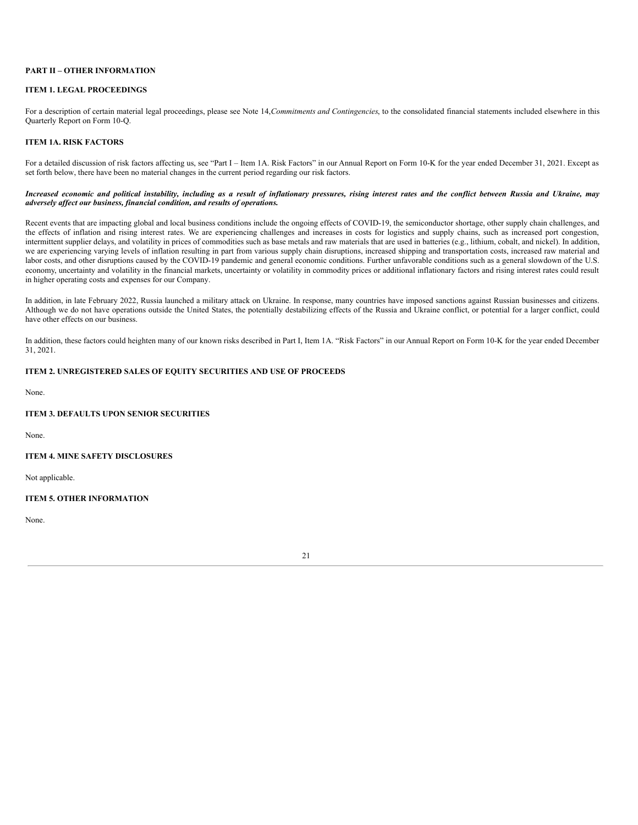## <span id="page-23-0"></span>**PART II – OTHER INFORMATION**

## **ITEM 1. LEGAL PROCEEDINGS**

For a description of certain material legal proceedings, please see Note 14,*Commitments and Contingencies*, to the consolidated financial statements included elsewhere in this Quarterly Report on Form 10-Q.

## <span id="page-23-1"></span>**ITEM 1A. RISK FACTORS**

For a detailed discussion of risk factors affecting us, see "Part I – Item 1A. Risk Factors" in our Annual Report on Form 10-K for the year ended December 31, 2021. Except as set forth below, there have been no material changes in the current period regarding our risk factors.

### Increased economic and political instability, including as a result of inflationary pressures, rising interest rates and the conflict between Russia and Ukraine, may *adversely af ect our business, financial condition, and results of operations.*

Recent events that are impacting global and local business conditions include the ongoing effects of COVID-19, the semiconductor shortage, other supply chain challenges, and the effects of inflation and rising interest rates. We are experiencing challenges and increases in costs for logistics and supply chains, such as increased port congestion, intermittent supplier delays, and volatility in prices of commodities such as base metals and raw materials that are used in batteries (e.g., lithium, cobalt, and nickel). In addition, we are experiencing varying levels of inflation resulting in part from various supply chain disruptions, increased shipping and transportation costs, increased raw material and labor costs, and other disruptions caused by the COVID-19 pandemic and general economic conditions. Further unfavorable conditions such as a general slowdown of the U.S. economy, uncertainty and volatility in the financial markets, uncertainty or volatility in commodity prices or additional inflationary factors and rising interest rates could result in higher operating costs and expenses for our Company.

In addition, in late February 2022, Russia launched a military attack on Ukraine. In response, many countries have imposed sanctions against Russian businesses and citizens. Although we do not have operations outside the United States, the potentially destabilizing effects of the Russia and Ukraine conflict, or potential for a larger conflict, could have other effects on our business.

In addition, these factors could heighten many of our known risks described in Part I, Item 1A. "Risk Factors" in our Annual Report on Form 10-K for the year ended December 31, 2021.

## <span id="page-23-2"></span>**ITEM 2. UNREGISTERED SALES OF EQUITY SECURITIES AND USE OF PROCEEDS**

None.

## <span id="page-23-3"></span>**ITEM 3. DEFAULTS UPON SENIOR SECURITIES**

None.

## <span id="page-23-4"></span>**ITEM 4. MINE SAFETY DISCLOSURES**

Not applicable.

## <span id="page-23-5"></span>**ITEM 5. OTHER INFORMATION**

<span id="page-23-6"></span>None.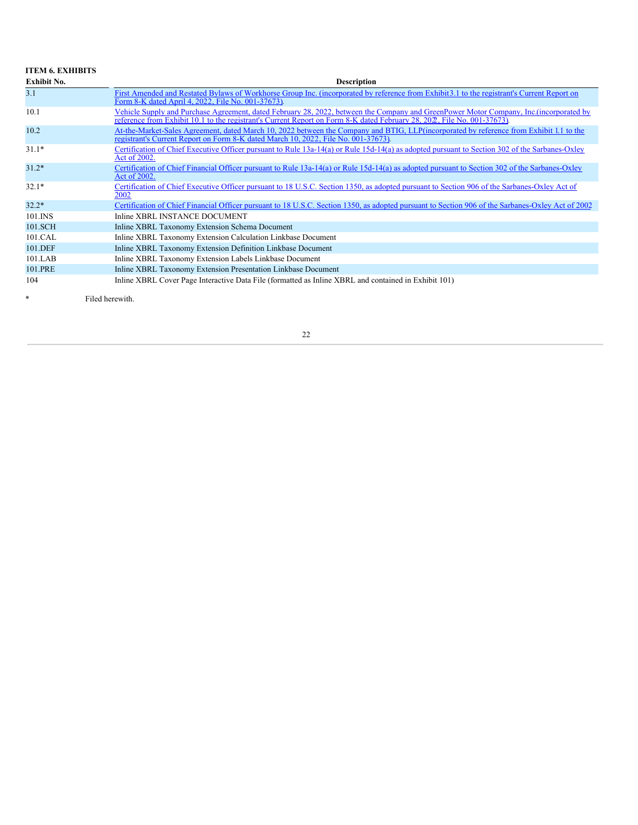| <b>ITEM 6. EXHIBITS</b> |                                                                                                                                                                                                                                                                   |
|-------------------------|-------------------------------------------------------------------------------------------------------------------------------------------------------------------------------------------------------------------------------------------------------------------|
| Exhibit No.             | <b>Description</b>                                                                                                                                                                                                                                                |
| 3.1                     | First Amended and Restated Bylaws of Workhorse Group Inc. (incorporated by reference from Exhibit 3.1 to the registrant's Current Report on<br>Form 8-K dated April 4, 2022, File No. 001-37673).                                                                 |
| 10.1                    | Vehicle Supply and Purchase Agreement, dated February 28, 2022, between the Company and GreenPower Motor Company, Inc.(incorporated by<br>reference from Exhibit 10.1 to the registrant's Current Report on Form 8-K dated February 28, 202, File No. 001-37673). |
| 10.2                    | At-the-Market-Sales Agreement, dated March 10, 2022 between the Company and BTIG, LLP(incorporated by reference from Exhibit 1.1 to the<br>registrant's Current Report on Form 8-K dated March 10, 2022, File No. 001-37673).                                     |
| $31.1*$                 | Certification of Chief Executive Officer pursuant to Rule 13a-14(a) or Rule 15d-14(a) as adopted pursuant to Section 302 of the Sarbanes-Oxley<br>Act of 2002.                                                                                                    |
| $31.2*$                 | Certification of Chief Financial Officer pursuant to Rule 13a-14(a) or Rule 15d-14(a) as adopted pursuant to Section 302 of the Sarbanes-Oxley<br>Act of 2002.                                                                                                    |
| $32.1*$                 | Certification of Chief Executive Officer pursuant to 18 U.S.C. Section 1350, as adopted pursuant to Section 906 of the Sarbanes-Oxley Act of<br>2002                                                                                                              |
| $32.2*$                 | Certification of Chief Financial Officer pursuant to 18 U.S.C. Section 1350, as adopted pursuant to Section 906 of the Sarbanes-Oxley Act of 2002                                                                                                                 |
| 101.INS                 | Inline XBRL INSTANCE DOCUMENT                                                                                                                                                                                                                                     |
| 101.SCH                 | Inline XBRL Taxonomy Extension Schema Document                                                                                                                                                                                                                    |
| 101.CAL                 | Inline XBRL Taxonomy Extension Calculation Linkbase Document                                                                                                                                                                                                      |
| 101.DEF                 | Inline XBRL Taxonomy Extension Definition Linkbase Document                                                                                                                                                                                                       |
| 101.LAB                 | Inline XBRL Taxonomy Extension Labels Linkbase Document                                                                                                                                                                                                           |
| 101.PRE                 | Inline XBRL Taxonomy Extension Presentation Linkbase Document                                                                                                                                                                                                     |
| 104                     | Inline XBRL Cover Page Interactive Data File (formatted as Inline XBRL and contained in Exhibit 101)                                                                                                                                                              |

<span id="page-24-0"></span>\* Filed herewith.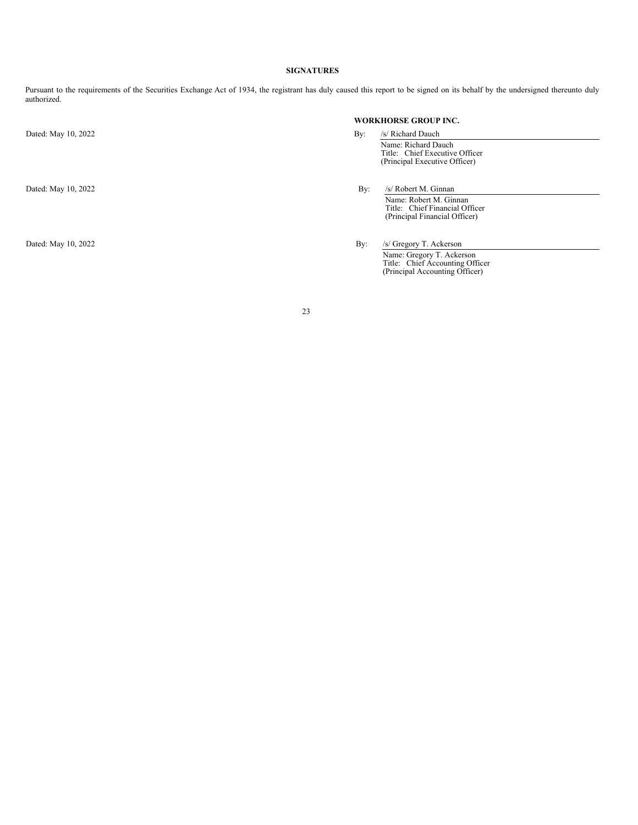## **SIGNATURES**

Pursuant to the requirements of the Securities Exchange Act of 1934, the registrant has duly caused this report to be signed on its behalf by the undersigned thereunto duly authorized.

|                     |     | <b>WORKHORSE GROUP INC.</b>                                                                    |  |  |
|---------------------|-----|------------------------------------------------------------------------------------------------|--|--|
| Dated: May 10, 2022 | By: | /s/ Richard Dauch                                                                              |  |  |
|                     |     | Name: Richard Dauch<br>Title: Chief Executive Officer<br>(Principal Executive Officer)         |  |  |
| Dated: May 10, 2022 | By: | /s/ Robert M. Ginnan                                                                           |  |  |
|                     |     | Name: Robert M. Ginnan<br>Title: Chief Financial Officer<br>(Principal Financial Officer)      |  |  |
| Dated: May 10, 2022 | By: | /s/ Gregory T. Ackerson                                                                        |  |  |
|                     |     | Name: Gregory T. Ackerson<br>Title: Chief Accounting Officer<br>(Principal Accounting Officer) |  |  |
|                     |     |                                                                                                |  |  |
| 2 <sup>2</sup>      |     |                                                                                                |  |  |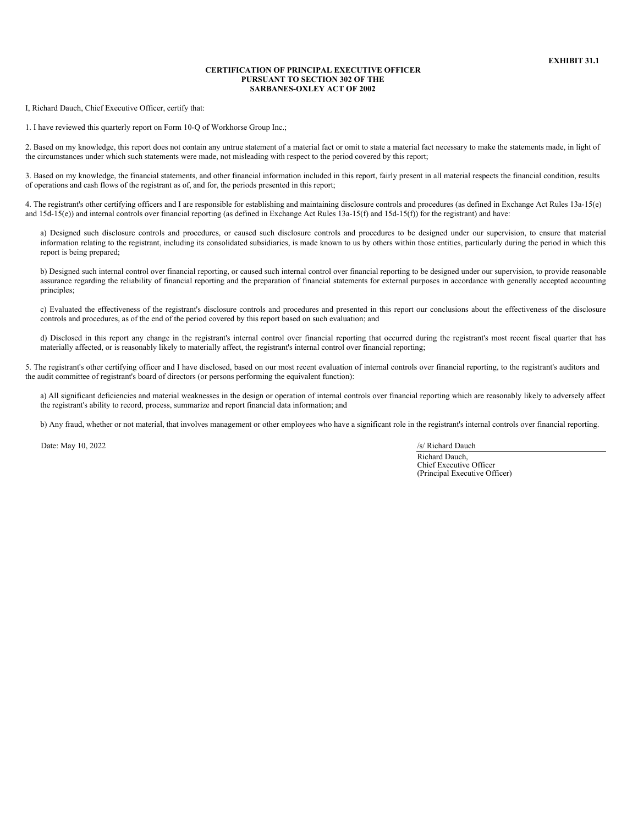### **CERTIFICATION OF PRINCIPAL EXECUTIVE OFFICER PURSUANT TO SECTION 302 OF THE SARBANES-OXLEY ACT OF 2002**

<span id="page-26-0"></span>I, Richard Dauch, Chief Executive Officer, certify that:

1. I have reviewed this quarterly report on Form 10-Q of Workhorse Group Inc.;

2. Based on my knowledge, this report does not contain any untrue statement of a material fact or omit to state a material fact necessary to make the statements made, in light of the circumstances under which such statements were made, not misleading with respect to the period covered by this report;

3. Based on my knowledge, the financial statements, and other financial information included in this report, fairly present in all material respects the financial condition, results of operations and cash flows of the registrant as of, and for, the periods presented in this report;

4. The registrant's other certifying officers and I are responsible for establishing and maintaining disclosure controls and procedures (as defined in Exchange Act Rules 13a-15(e) and  $15d-15(e)$ ) and internal controls over financial reporting (as defined in Exchange Act Rules  $13a-15(f)$  and  $15d-15(f)$ ) for the registrant) and have:

a) Designed such disclosure controls and procedures, or caused such disclosure controls and procedures to be designed under our supervision, to ensure that material information relating to the registrant, including its consolidated subsidiaries, is made known to us by others within those entities, particularly during the period in which this report is being prepared;

b) Designed such internal control over financial reporting, or caused such internal control over financial reporting to be designed under our supervision, to provide reasonable assurance regarding the reliability of financial reporting and the preparation of financial statements for external purposes in accordance with generally accepted accounting principles;

c) Evaluated the effectiveness of the registrant's disclosure controls and procedures and presented in this report our conclusions about the effectiveness of the disclosure controls and procedures, as of the end of the period covered by this report based on such evaluation; and

d) Disclosed in this report any change in the registrant's internal control over financial reporting that occurred during the registrant's most recent fiscal quarter that has materially affected, or is reasonably likely to materially affect, the registrant's internal control over financial reporting;

5. The registrant's other certifying officer and I have disclosed, based on our most recent evaluation of internal controls over financial reporting, to the registrant's auditors and the audit committee of registrant's board of directors (or persons performing the equivalent function):

a) All significant deficiencies and material weaknesses in the design or operation of internal controls over financial reporting which are reasonably likely to adversely affect the registrant's ability to record, process, summarize and report financial data information; and

b) Any fraud, whether or not material, that involves management or other employees who have a significant role in the registrant's internal controls over financial reporting.

Date: May 10, 2022 /s/ Richard Dauch

Richard Dauch, Chief Executive Officer (Principal Executive Officer)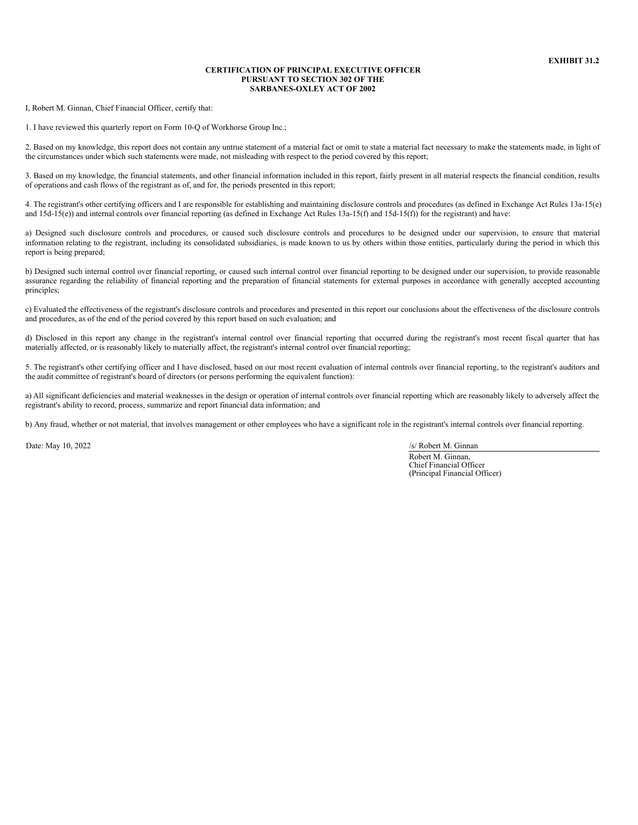### **CERTIFICATION OF PRINCIPAL EXECUTIVE OFFICER PURSUANT TO SECTION 302 OF THE SARBANES-OXLEY ACT OF 2002**

<span id="page-27-0"></span>I, Robert M. Ginnan, Chief Financial Officer, certify that:

1. I have reviewed this quarterly report on Form 10-Q of Workhorse Group Inc.;

2. Based on my knowledge, this report does not contain any untrue statement of a material fact or omit to state a material fact necessary to make the statements made, in light of the circumstances under which such statements were made, not misleading with respect to the period covered by this report;

3. Based on my knowledge, the financial statements, and other financial information included in this report, fairly present in all material respects the financial condition, results of operations and cash flows of the registrant as of, and for, the periods presented in this report;

4. The registrant's other certifying officers and I are responsible for establishing and maintaining disclosure controls and procedures (as defined in Exchange Act Rules 13a-15(e) and  $15d-15(e)$ ) and internal controls over financial reporting (as defined in Exchange Act Rules  $13a-15(f)$  and  $15d-15(f)$ ) for the registrant) and have:

a) Designed such disclosure controls and procedures, or caused such disclosure controls and procedures to be designed under our supervision, to ensure that material information relating to the registrant, including its consolidated subsidiaries, is made known to us by others within those entities, particularly during the period in which this report is being prepared;

b) Designed such internal control over financial reporting, or caused such internal control over financial reporting to be designed under our supervision, to provide reasonable assurance regarding the reliability of financial reporting and the preparation of financial statements for external purposes in accordance with generally accepted accounting principles;

c) Evaluated the effectiveness of the registrant's disclosure controls and procedures and presented in this report our conclusions about the effectiveness of the disclosure controls and procedures, as of the end of the period covered by this report based on such evaluation; and

d) Disclosed in this report any change in the registrant's internal control over financial reporting that occurred during the registrant's most recent fiscal quarter that has materially affected, or is reasonably likely to materially affect, the registrant's internal control over financial reporting;

5. The registrant's other certifying officer and I have disclosed, based on our most recent evaluation of internal controls over financial reporting, to the registrant's auditors and the audit committee of registrant's board of directors (or persons performing the equivalent function):

a) All significant deficiencies and material weaknesses in the design or operation of internal controls over financial reporting which are reasonably likely to adversely affect the registrant's ability to record, process, summarize and report financial data information; and

b) Any fraud, whether or not material, that involves management or other employees who have a significant role in the registrant's internal controls over financial reporting.

Date: May 10, 2022 /s/ Robert M. Ginnan

Robert M. Ginnan, Chief Financial Officer (Principal Financial Officer)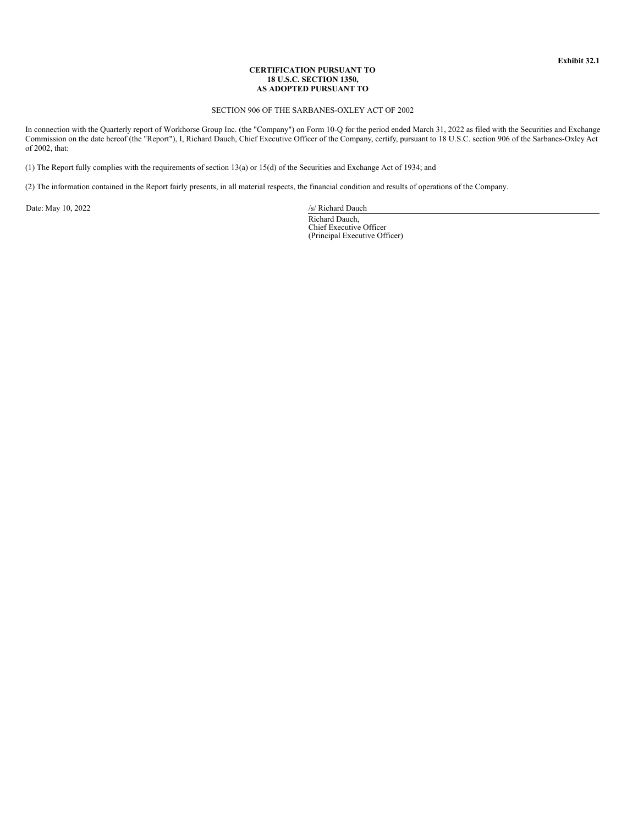## **CERTIFICATION PURSUANT TO 18 U.S.C. SECTION 1350, AS ADOPTED PURSUANT TO**

## SECTION 906 OF THE SARBANES-OXLEY ACT OF 2002

<span id="page-28-0"></span>In connection with the Quarterly report of Workhorse Group Inc. (the "Company") on Form 10-Q for the period ended March 31, 2022 as filed with the Securities and Exchange Commission on the date hereof (the "Report"), I, Richard Dauch, Chief Executive Officer of the Company, certify, pursuant to 18 U.S.C. section 906 of the Sarbanes-Oxley Act of 2002, that:

(1) The Report fully complies with the requirements of section 13(a) or 15(d) of the Securities and Exchange Act of 1934; and

(2) The information contained in the Report fairly presents, in all material respects, the financial condition and results of operations of the Company.

Date: May 10, 2022 /s/ Richard Dauch

Richard Dauch,

Chief Executive Officer (Principal Executive Officer)